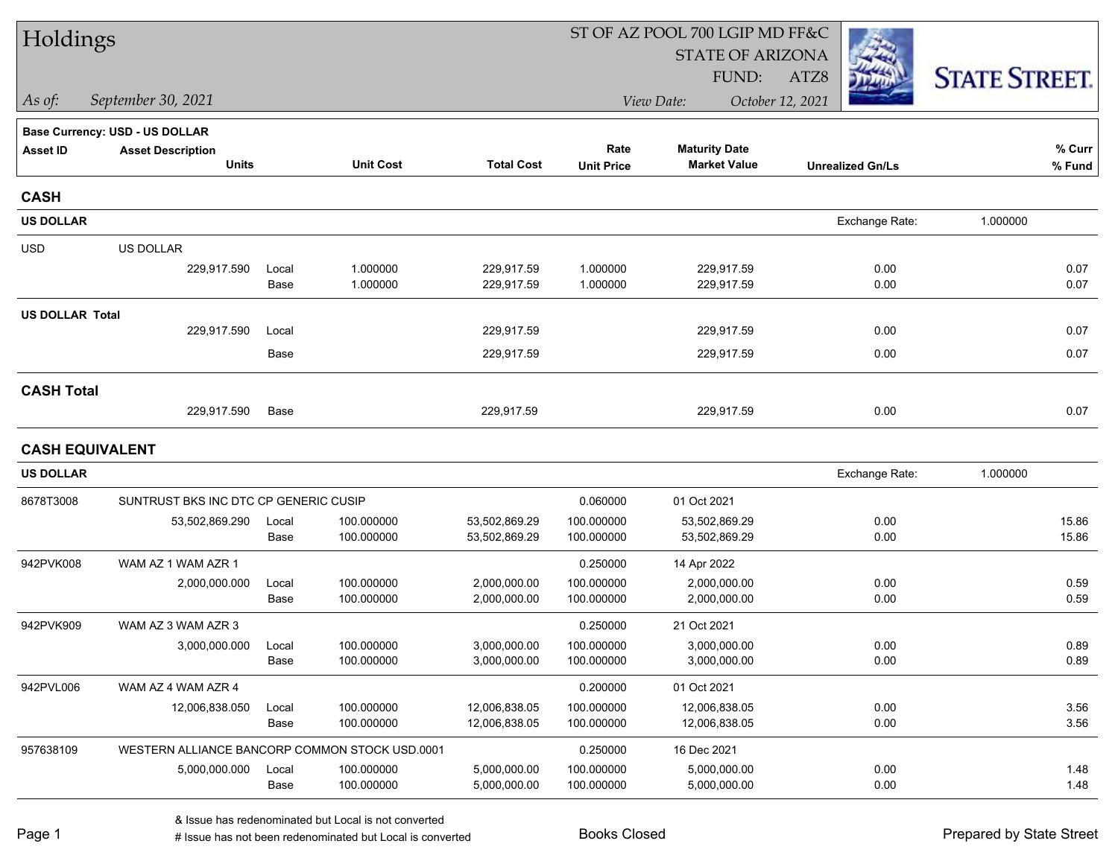| Holdings               |                                                |       |                  |                   | ST OF AZ POOL 700 LGIP MD FF&C |                                |                         |                      |  |  |  |
|------------------------|------------------------------------------------|-------|------------------|-------------------|--------------------------------|--------------------------------|-------------------------|----------------------|--|--|--|
|                        |                                                |       |                  |                   |                                | <b>STATE OF ARIZONA</b>        |                         |                      |  |  |  |
|                        |                                                |       |                  |                   |                                | FUND:                          | ATZ8                    | <b>STATE STREET.</b> |  |  |  |
| As of:                 | September 30, 2021                             |       |                  |                   |                                | View Date:<br>October 12, 2021 |                         |                      |  |  |  |
|                        | <b>Base Currency: USD - US DOLLAR</b>          |       |                  |                   |                                |                                |                         |                      |  |  |  |
| <b>Asset ID</b>        | <b>Asset Description</b>                       |       |                  |                   | Rate                           | <b>Maturity Date</b>           |                         | % Curr               |  |  |  |
|                        | <b>Units</b>                                   |       | <b>Unit Cost</b> | <b>Total Cost</b> | <b>Unit Price</b>              | <b>Market Value</b>            | <b>Unrealized Gn/Ls</b> | $%$ Fund             |  |  |  |
| <b>CASH</b>            |                                                |       |                  |                   |                                |                                |                         |                      |  |  |  |
| <b>US DOLLAR</b>       |                                                |       |                  |                   |                                |                                | Exchange Rate:          | 1.000000             |  |  |  |
| <b>USD</b>             | <b>US DOLLAR</b>                               |       |                  |                   |                                |                                |                         |                      |  |  |  |
|                        | 229,917.590                                    | Local | 1.000000         | 229,917.59        | 1.000000                       | 229,917.59                     | 0.00                    | 0.07                 |  |  |  |
|                        |                                                | Base  | 1.000000         | 229,917.59        | 1.000000                       | 229,917.59                     | 0.00                    | 0.07                 |  |  |  |
| <b>US DOLLAR Total</b> |                                                |       |                  |                   |                                |                                |                         |                      |  |  |  |
|                        | 229,917.590                                    | Local |                  | 229,917.59        |                                | 229,917.59                     | 0.00                    | 0.07                 |  |  |  |
|                        |                                                | Base  |                  | 229,917.59        |                                | 229,917.59                     | 0.00                    | 0.07                 |  |  |  |
| <b>CASH Total</b>      |                                                |       |                  |                   |                                |                                |                         |                      |  |  |  |
|                        | 229,917.590                                    | Base  |                  | 229,917.59        |                                | 229,917.59                     | 0.00                    | 0.07                 |  |  |  |
| <b>CASH EQUIVALENT</b> |                                                |       |                  |                   |                                |                                |                         |                      |  |  |  |
| <b>US DOLLAR</b>       |                                                |       |                  |                   |                                |                                | Exchange Rate:          | 1.000000             |  |  |  |
| 8678T3008              | SUNTRUST BKS INC DTC CP GENERIC CUSIP          |       |                  |                   | 0.060000                       | 01 Oct 2021                    |                         |                      |  |  |  |
|                        | 53,502,869.290                                 | Local | 100.000000       | 53,502,869.29     | 100.000000                     | 53,502,869.29                  | 0.00                    | 15.86                |  |  |  |
|                        |                                                | Base  | 100.000000       | 53,502,869.29     | 100.000000                     | 53,502,869.29                  | 0.00                    | 15.86                |  |  |  |
| 942PVK008              | WAM AZ 1 WAM AZR 1                             |       |                  |                   | 0.250000                       | 14 Apr 2022                    |                         |                      |  |  |  |
|                        | 2,000,000.000                                  | Local | 100.000000       | 2,000,000.00      | 100.000000                     | 2,000,000.00                   | 0.00                    | 0.59                 |  |  |  |
|                        |                                                | Base  | 100.000000       | 2,000,000.00      | 100.000000                     | 2,000,000.00                   | 0.00                    | 0.59                 |  |  |  |
| 942PVK909              | WAM AZ 3 WAM AZR 3                             |       |                  |                   | 0.250000                       | 21 Oct 2021                    |                         |                      |  |  |  |
|                        | 3,000,000.000                                  | Local | 100.000000       | 3,000,000.00      | 100.000000                     | 3,000,000.00                   | 0.00                    | 0.89                 |  |  |  |
|                        |                                                | Base  | 100.000000       | 3,000,000.00      | 100.000000                     | 3,000,000.00                   | 0.00                    | 0.89                 |  |  |  |
| 942PVL006              | WAM AZ 4 WAM AZR 4                             |       |                  |                   | 0.200000                       | 01 Oct 2021                    |                         |                      |  |  |  |
|                        | 12,006,838.050                                 | Local | 100.000000       | 12,006,838.05     | 100.000000                     | 12,006,838.05                  | 0.00                    | 3.56                 |  |  |  |
|                        |                                                | Base  | 100.000000       | 12,006,838.05     | 100.000000                     | 12,006,838.05                  | 0.00                    | 3.56                 |  |  |  |
| 957638109              | WESTERN ALLIANCE BANCORP COMMON STOCK USD.0001 |       |                  |                   | 0.250000                       | 16 Dec 2021                    |                         |                      |  |  |  |
|                        | 5,000,000.000                                  | Local | 100.000000       | 5,000,000.00      | 100.000000                     | 5,000,000.00                   | 0.00                    | 1.48                 |  |  |  |
|                        |                                                | Base  | 100.000000       | 5,000,000.00      | 100.000000                     | 5,000,000.00                   | 0.00                    | 1.48                 |  |  |  |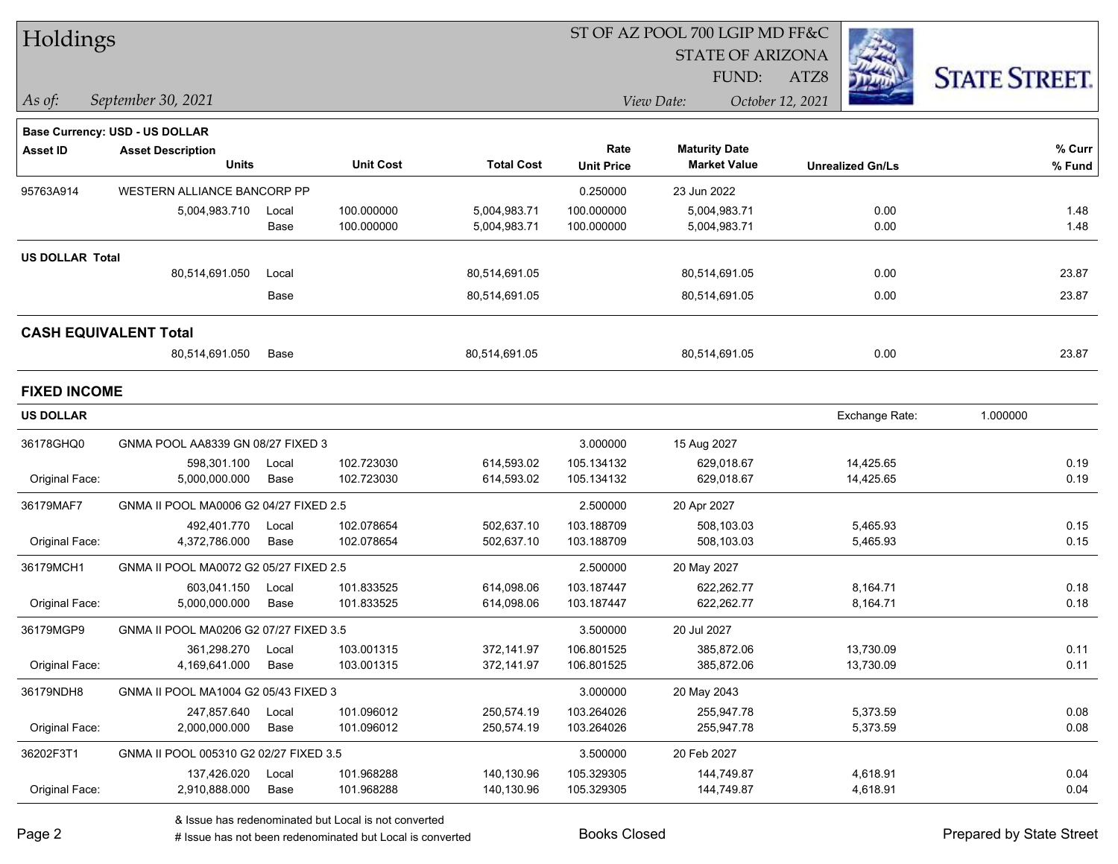| Holdings               |                                          |               |                          |                              | ST OF AZ POOL 700 LGIP MD FF&C |                                             |                         |                     |  |  |
|------------------------|------------------------------------------|---------------|--------------------------|------------------------------|--------------------------------|---------------------------------------------|-------------------------|---------------------|--|--|
|                        |                                          |               |                          |                              |                                | <b>STATE OF ARIZONA</b>                     |                         |                     |  |  |
|                        |                                          |               |                          |                              |                                | FUND:                                       | ATZ8                    | <b>STATE STREET</b> |  |  |
| As of:                 | September 30, 2021                       |               |                          |                              |                                | View Date:                                  | October 12, 2021        |                     |  |  |
|                        |                                          |               |                          |                              |                                |                                             |                         |                     |  |  |
|                        | Base Currency: USD - US DOLLAR           |               |                          |                              |                                |                                             |                         |                     |  |  |
| <b>Asset ID</b>        | <b>Asset Description</b><br><b>Units</b> |               | <b>Unit Cost</b>         | <b>Total Cost</b>            | Rate<br><b>Unit Price</b>      | <b>Maturity Date</b><br><b>Market Value</b> | <b>Unrealized Gn/Ls</b> | $%$ Curr<br>% Fund  |  |  |
| 95763A914              | WESTERN ALLIANCE BANCORP PP              |               |                          |                              | 0.250000                       | 23 Jun 2022                                 |                         |                     |  |  |
|                        |                                          |               |                          |                              |                                |                                             |                         |                     |  |  |
|                        | 5,004,983.710                            | Local<br>Base | 100.000000<br>100.000000 | 5,004,983.71<br>5,004,983.71 | 100.000000<br>100.000000       | 5,004,983.71<br>5,004,983.71                | 0.00<br>0.00            | 1.48<br>1.48        |  |  |
|                        |                                          |               |                          |                              |                                |                                             |                         |                     |  |  |
| <b>US DOLLAR Total</b> | 80,514,691.050                           | Local         |                          | 80,514,691.05                |                                | 80,514,691.05                               | 0.00                    | 23.87               |  |  |
|                        |                                          | Base          |                          | 80,514,691.05                |                                | 80,514,691.05                               | 0.00                    | 23.87               |  |  |
|                        |                                          |               |                          |                              |                                |                                             |                         |                     |  |  |
|                        | <b>CASH EQUIVALENT Total</b>             |               |                          |                              |                                |                                             |                         |                     |  |  |
|                        | 80,514,691.050                           | Base          |                          | 80,514,691.05                |                                | 80,514,691.05                               | 0.00                    | 23.87               |  |  |
| <b>FIXED INCOME</b>    |                                          |               |                          |                              |                                |                                             |                         |                     |  |  |
| <b>US DOLLAR</b>       |                                          |               |                          |                              |                                |                                             | Exchange Rate:          | 1.000000            |  |  |
| 36178GHQ0              | GNMA POOL AA8339 GN 08/27 FIXED 3        |               |                          |                              | 3.000000                       | 15 Aug 2027                                 |                         |                     |  |  |
|                        | 598,301.100                              | Local         | 102.723030               | 614,593.02                   | 105.134132                     | 629,018.67                                  | 14,425.65               | 0.19                |  |  |
| Original Face:         | 5,000,000.000                            | Base          | 102.723030               | 614,593.02                   | 105.134132                     | 629,018.67                                  | 14,425.65               | 0.19                |  |  |
| 36179MAF7              | GNMA II POOL MA0006 G2 04/27 FIXED 2.5   |               |                          |                              | 2.500000                       | 20 Apr 2027                                 |                         |                     |  |  |
|                        | 492,401.770                              | Local         | 102.078654               | 502,637.10                   | 103.188709                     | 508,103.03                                  | 5,465.93                | 0.15                |  |  |
| Original Face:         | 4,372,786.000                            | Base          | 102.078654               | 502,637.10                   | 103.188709                     | 508,103.03                                  | 5,465.93                | 0.15                |  |  |
| 36179MCH1              | GNMA II POOL MA0072 G2 05/27 FIXED 2.5   |               |                          |                              | 2.500000                       | 20 May 2027                                 |                         |                     |  |  |
|                        | 603,041.150                              | Local         | 101.833525               | 614,098.06                   | 103.187447                     | 622,262.77                                  | 8,164.71                | 0.18                |  |  |
| Original Face:         | 5,000,000.000                            | Base          | 101.833525               | 614,098.06                   | 103.187447                     | 622,262.77                                  | 8,164.71                | 0.18                |  |  |
| 36179MGP9              | GNMA II POOL MA0206 G2 07/27 FIXED 3.5   |               |                          |                              | 3.500000                       | 20 Jul 2027                                 |                         |                     |  |  |
|                        | 361,298.270 Local                        |               | 103.001315               | 372,141.97                   | 106.801525                     | 385,872.06                                  | 13,730.09               | 0.11                |  |  |
| Original Face:         | 4,169,641.000                            | Base          | 103.001315               | 372,141.97                   | 106.801525                     | 385,872.06                                  | 13,730.09               | 0.11                |  |  |
| 36179NDH8              | GNMA II POOL MA1004 G2 05/43 FIXED 3     |               |                          |                              | 3.000000                       | 20 May 2043                                 |                         |                     |  |  |
|                        | 247,857.640                              | Local         | 101.096012               | 250,574.19                   | 103.264026                     | 255,947.78                                  | 5,373.59                | 0.08                |  |  |
| Original Face:         | 2,000,000.000                            | Base          | 101.096012               | 250,574.19                   | 103.264026                     | 255,947.78                                  | 5,373.59                | 0.08                |  |  |
| 36202F3T1              | GNMA II POOL 005310 G2 02/27 FIXED 3.5   |               |                          |                              | 3.500000                       | 20 Feb 2027                                 |                         |                     |  |  |
|                        | 137,426.020                              | Local         | 101.968288               | 140,130.96                   | 105.329305                     | 144,749.87                                  | 4,618.91                | 0.04                |  |  |
| Original Face:         | 2,910,888.000                            | Base          | 101.968288               | 140,130.96                   | 105.329305                     | 144,749.87                                  | 4,618.91                | 0.04                |  |  |

& Issue has redenominated but Local is not converted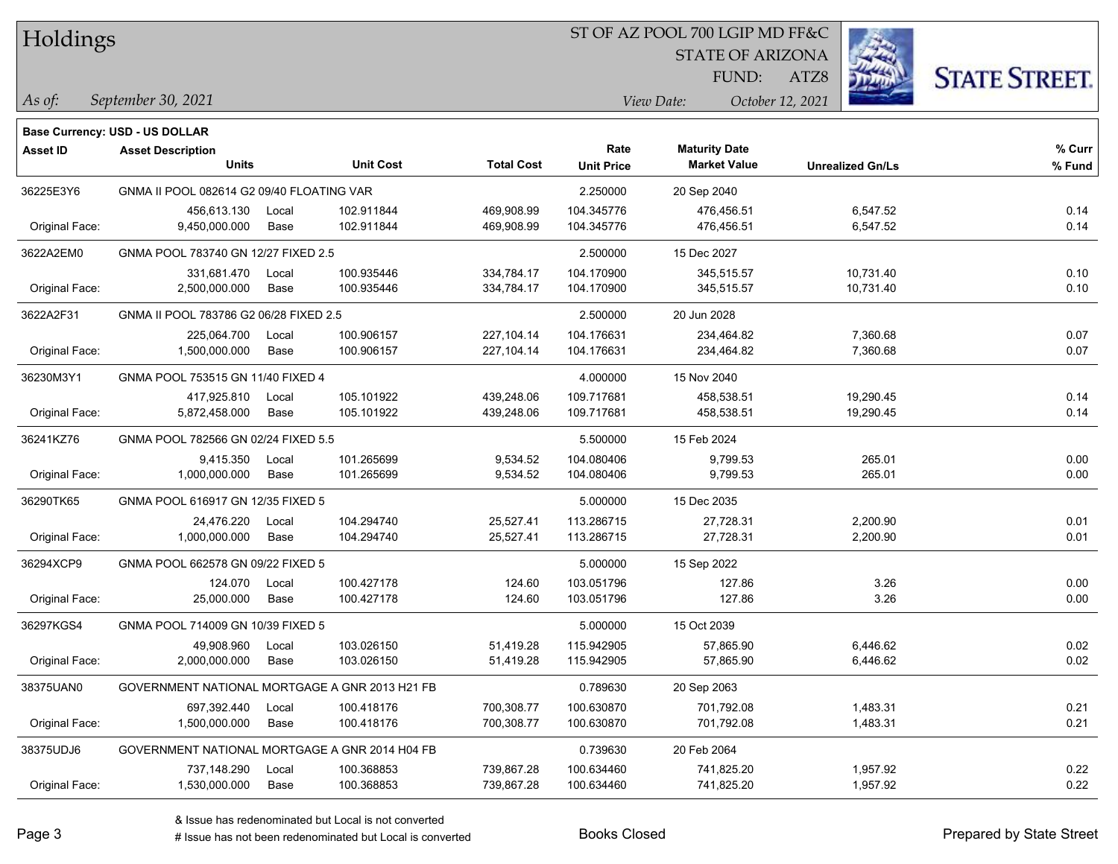| Holdings |
|----------|
|          |

#### ST OF AZ POOL 700 LGIP MD FF&C

**Maturity Date**

STATE OF ARIZONA

ATZ8



**% Fund**

**% Curr**

*September 30, 2021 As of: View Date: October 12, 2021*

**Base Currency: USD - US DOLLAR**

FUND:

|                | <b>Units</b>                                   |       | <b>Unit Cost</b> | <b>Total Cost</b> | <b>Unit Price</b> | <b>Market Value</b> | <b>Unrealized Gn/Ls</b> | % Fun |
|----------------|------------------------------------------------|-------|------------------|-------------------|-------------------|---------------------|-------------------------|-------|
| 36225E3Y6      | GNMA II POOL 082614 G2 09/40 FLOATING VAR      |       |                  |                   | 2.250000          | 20 Sep 2040         |                         |       |
|                | 456,613.130                                    | Local | 102.911844       | 469,908.99        | 104.345776        | 476,456.51          | 6,547.52                | 0.14  |
| Original Face: | 9,450,000.000                                  | Base  | 102.911844       | 469,908.99        | 104.345776        | 476,456.51          | 6,547.52                | 0.14  |
| 3622A2EM0      | GNMA POOL 783740 GN 12/27 FIXED 2.5            |       |                  |                   | 2.500000          | 15 Dec 2027         |                         |       |
|                | 331,681.470                                    | Local | 100.935446       | 334,784.17        | 104.170900        | 345,515.57          | 10,731.40               | 0.10  |
| Original Face: | 2,500,000.000                                  | Base  | 100.935446       | 334,784.17        | 104.170900        | 345,515.57          | 10,731.40               | 0.10  |
| 3622A2F31      | GNMA II POOL 783786 G2 06/28 FIXED 2.5         |       |                  |                   | 2.500000          | 20 Jun 2028         |                         |       |
|                | 225,064.700                                    | Local | 100.906157       | 227,104.14        | 104.176631        | 234,464.82          | 7,360.68                | 0.07  |
| Original Face: | 1,500,000.000                                  | Base  | 100.906157       | 227,104.14        | 104.176631        | 234,464.82          | 7,360.68                | 0.07  |
| 36230M3Y1      | GNMA POOL 753515 GN 11/40 FIXED 4              |       |                  |                   | 4.000000          | 15 Nov 2040         |                         |       |
|                | 417,925.810                                    | Local | 105.101922       | 439,248.06        | 109.717681        | 458,538.51          | 19,290.45               | 0.14  |
| Original Face: | 5,872,458.000                                  | Base  | 105.101922       | 439,248.06        | 109.717681        | 458,538.51          | 19,290.45               | 0.14  |
| 36241KZ76      | GNMA POOL 782566 GN 02/24 FIXED 5.5            |       |                  | 5.500000          | 15 Feb 2024       |                     |                         |       |
|                | 9,415.350                                      | Local | 101.265699       | 9,534.52          | 104.080406        | 9,799.53            | 265.01                  | 0.00  |
| Original Face: | 1,000,000.000                                  | Base  | 101.265699       | 9,534.52          | 104.080406        | 9,799.53            | 265.01                  | 0.00  |
| 36290TK65      | GNMA POOL 616917 GN 12/35 FIXED 5              |       |                  |                   | 5.000000          | 15 Dec 2035         |                         |       |
|                | 24.476.220                                     | Local | 104.294740       | 25,527.41         | 113.286715        | 27,728.31           | 2,200.90                | 0.01  |
| Original Face: | 1,000,000.000                                  | Base  | 104.294740       | 25,527.41         | 113.286715        | 27,728.31           | 2,200.90                | 0.01  |
| 36294XCP9      | GNMA POOL 662578 GN 09/22 FIXED 5              |       |                  |                   | 5.000000          | 15 Sep 2022         |                         |       |
|                | 124.070                                        | Local | 100.427178       | 124.60            | 103.051796        | 127.86              | 3.26                    | 0.00  |
| Original Face: | 25,000.000                                     | Base  | 100.427178       | 124.60            | 103.051796        | 127.86              | 3.26                    | 0.00  |
| 36297KGS4      | GNMA POOL 714009 GN 10/39 FIXED 5              |       |                  |                   | 5.000000          | 15 Oct 2039         |                         |       |
|                | 49,908.960                                     | Local | 103.026150       | 51,419.28         | 115.942905        | 57,865.90           | 6,446.62                | 0.02  |
| Original Face: | 2,000,000.000                                  | Base  | 103.026150       | 51,419.28         | 115.942905        | 57,865.90           | 6,446.62                | 0.02  |
| 38375UAN0      | GOVERNMENT NATIONAL MORTGAGE A GNR 2013 H21 FB |       |                  |                   | 0.789630          | 20 Sep 2063         |                         |       |
|                |                                                |       |                  |                   |                   |                     |                         |       |

697,392.440 Local 100.418176 700,308.77 100.630870 701,792.08 1,483.31 0.21 Original Face: 1,500,000.000 Base 100.418176 700,308.77 100.630870 701,792.08 1,483.31 0.21 38375UDJ6 GOVERNMENT NATIONAL MORTGAGE A GNR 2014 H04 FB 0.739630 20 Feb 2064 737,148.290 Local 100.368853 739,867.28 100.634460 741,825.20 1,957.92 0.22 Original Face: 1,530,000.000 Base 100.368853 739,867.28 100.634460 741,825.20 1,957.92 0.22

**Asset ID Asset Description Rate**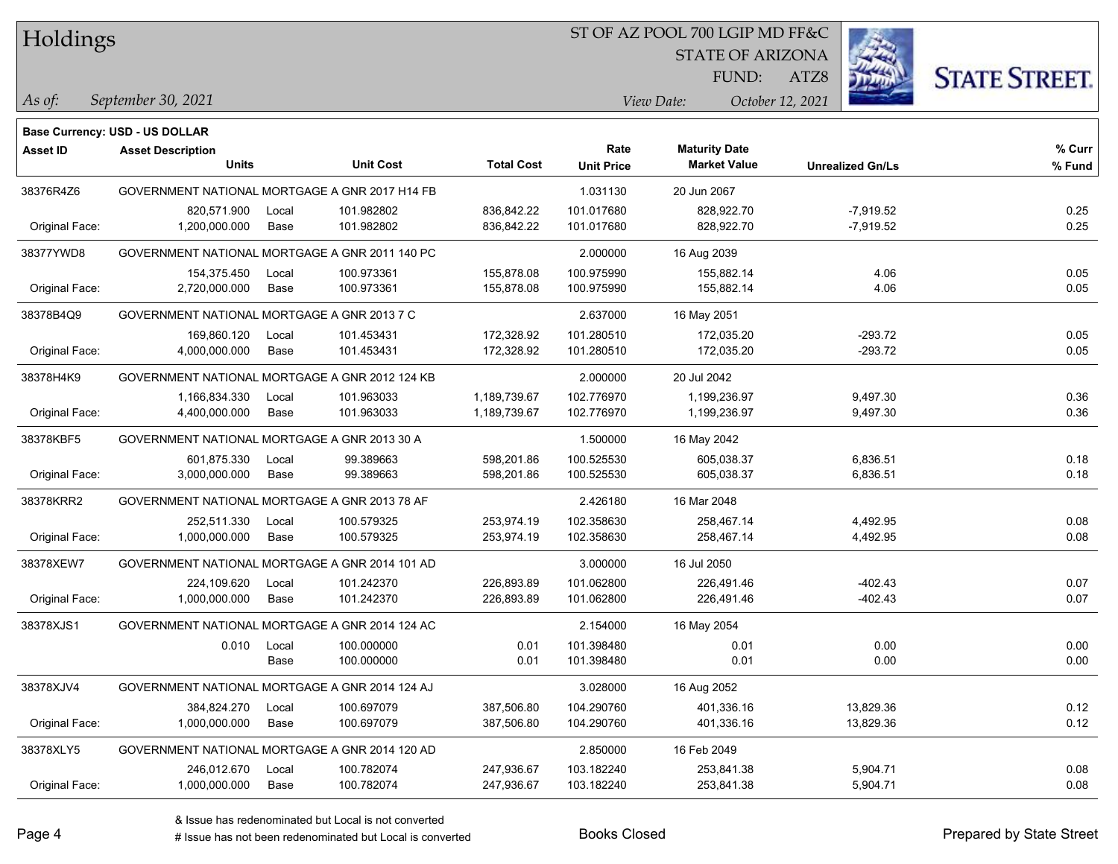### ST OF AZ POOL 700 LGIP MD FF&C

STATE OF ARIZONA

*As of: View Date: October 12, 2021* FUND:

ATZ8



| As of: | September 30, 2021 |  |
|--------|--------------------|--|
|        |                    |  |

|                | Base Currency: USD - US DOLLAR                 |                                             |                  |                   |                   |                      |                         |        |
|----------------|------------------------------------------------|---------------------------------------------|------------------|-------------------|-------------------|----------------------|-------------------------|--------|
| Asset ID       | <b>Asset Description</b>                       |                                             |                  |                   | Rate              | <b>Maturity Date</b> |                         | % Curr |
|                | <b>Units</b>                                   |                                             | <b>Unit Cost</b> | <b>Total Cost</b> | <b>Unit Price</b> | <b>Market Value</b>  | <b>Unrealized Gn/Ls</b> | % Fund |
| 38376R4Z6      | GOVERNMENT NATIONAL MORTGAGE A GNR 2017 H14 FB |                                             |                  |                   | 1.031130          | 20 Jun 2067          |                         |        |
|                | 820,571.900                                    | Local                                       | 101.982802       | 836,842.22        | 101.017680        | 828.922.70           | $-7,919.52$             | 0.25   |
| Original Face: | 1,200,000.000                                  | Base                                        | 101.982802       | 836,842.22        | 101.017680        | 828,922.70           | $-7,919.52$             | 0.25   |
| 38377YWD8      | GOVERNMENT NATIONAL MORTGAGE A GNR 2011 140 PC |                                             |                  |                   | 2.000000          | 16 Aug 2039          |                         |        |
|                | 154,375.450                                    | Local                                       | 100.973361       | 155,878.08        | 100.975990        | 155,882.14           | 4.06                    | 0.05   |
| Original Face: | 2,720,000.000                                  | Base                                        | 100.973361       | 155,878.08        | 100.975990        | 155,882.14           | 4.06                    | 0.05   |
| 38378B4Q9      |                                                | GOVERNMENT NATIONAL MORTGAGE A GNR 2013 7 C |                  |                   |                   | 16 May 2051          |                         |        |
|                | 169,860.120                                    | Local                                       | 101.453431       | 172,328.92        | 101.280510        | 172,035.20           | -293.72                 | 0.05   |
| Original Face: | 4,000,000.000                                  | Base                                        | 101.453431       | 172,328.92        | 101.280510        | 172,035.20           | $-293.72$               | 0.05   |
| 38378H4K9      | GOVERNMENT NATIONAL MORTGAGE A GNR 2012 124 KB |                                             |                  |                   | 2.000000          | 20 Jul 2042          |                         |        |
|                | 1,166,834.330                                  | Local                                       | 101.963033       | 1,189,739.67      | 102.776970        | 1,199,236.97         | 9,497.30                | 0.36   |
| Original Face: | 4,400,000.000                                  | Base                                        | 101.963033       | 1,189,739.67      | 102.776970        | 1,199,236.97         | 9,497.30                | 0.36   |
| 38378KBF5      | GOVERNMENT NATIONAL MORTGAGE A GNR 2013 30 A   |                                             |                  |                   | 1.500000          | 16 May 2042          |                         |        |
|                | 601,875.330                                    | Local                                       | 99.389663        | 598,201.86        | 100.525530        | 605,038.37           | 6,836.51                | 0.18   |
| Original Face: | 3,000,000.000                                  | Base                                        | 99.389663        | 598,201.86        | 100.525530        | 605,038.37           | 6,836.51                | 0.18   |
| 38378KRR2      | GOVERNMENT NATIONAL MORTGAGE A GNR 2013 78 AF  |                                             |                  |                   | 2.426180          | 16 Mar 2048          |                         |        |
|                | 252,511.330                                    | Local                                       | 100.579325       | 253,974.19        | 102.358630        | 258,467.14           | 4,492.95                | 0.08   |
| Original Face: | 1,000,000.000                                  | Base                                        | 100.579325       | 253,974.19        | 102.358630        | 258,467.14           | 4,492.95                | 0.08   |
| 38378XEW7      | GOVERNMENT NATIONAL MORTGAGE A GNR 2014 101 AD |                                             |                  |                   | 3.000000          | 16 Jul 2050          |                         |        |
|                | 224,109.620                                    | Local                                       | 101.242370       | 226,893.89        | 101.062800        | 226,491.46           | $-402.43$               | 0.07   |
| Original Face: | 1,000,000.000                                  | Base                                        | 101.242370       | 226,893.89        | 101.062800        | 226,491.46           | $-402.43$               | 0.07   |
| 38378XJS1      | GOVERNMENT NATIONAL MORTGAGE A GNR 2014 124 AC |                                             |                  |                   | 2.154000          | 16 May 2054          |                         |        |
|                | 0.010                                          | Local                                       | 100.000000       | 0.01              | 101.398480        | 0.01                 | 0.00                    | 0.00   |
|                |                                                | Base                                        | 100.000000       | 0.01              | 101.398480        | 0.01                 | 0.00                    | 0.00   |
| 38378XJV4      | GOVERNMENT NATIONAL MORTGAGE A GNR 2014 124 AJ |                                             |                  |                   | 3.028000          | 16 Aug 2052          |                         |        |
|                | 384,824.270                                    | Local                                       | 100.697079       | 387,506.80        | 104.290760        | 401,336.16           | 13,829.36               | 0.12   |
| Original Face: | 1,000,000.000                                  | Base                                        | 100.697079       | 387,506.80        | 104.290760        | 401,336.16           | 13,829.36               | 0.12   |
| 38378XLY5      | GOVERNMENT NATIONAL MORTGAGE A GNR 2014 120 AD |                                             |                  |                   | 2.850000          | 16 Feb 2049          |                         |        |
|                | 246,012.670                                    | Local                                       | 100.782074       | 247,936.67        | 103.182240        | 253,841.38           | 5,904.71                | 0.08   |
| Original Face: | 1,000,000.000                                  | Base                                        | 100.782074       | 247,936.67        | 103.182240        | 253,841.38           | 5,904.71                | 0.08   |
|                |                                                |                                             |                  |                   |                   |                      |                         |        |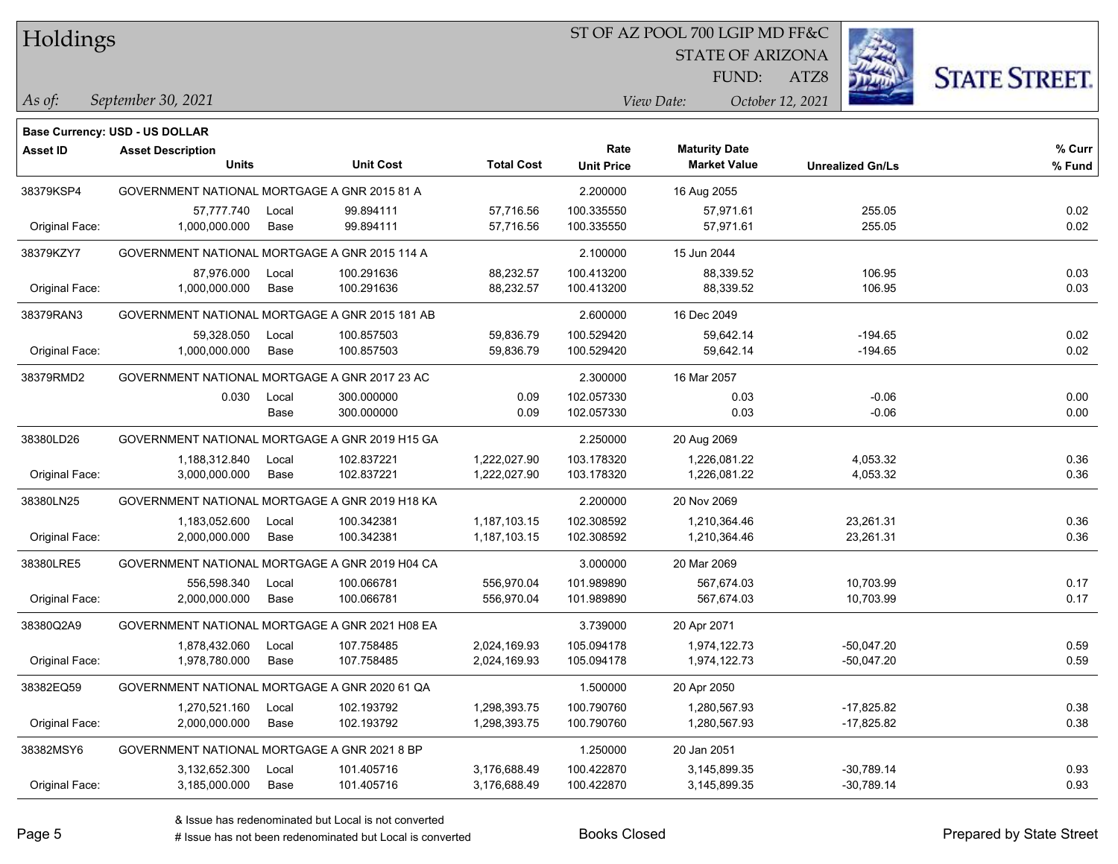### ST OF AZ POOL 700 LGIP MD FF&C

STATE OF ARIZONA

ATZ8



*September 30, 2021 As of: View Date: October 12, 2021*

**Base Currency: USD - US DOLLAR**

FUND:

| <b>Asset ID</b> | <b>Asset Description</b>                       |                                                |                  |                   | Rate              | <b>Maturity Date</b> |                         | % Curr |
|-----------------|------------------------------------------------|------------------------------------------------|------------------|-------------------|-------------------|----------------------|-------------------------|--------|
|                 | <b>Units</b>                                   |                                                | <b>Unit Cost</b> | <b>Total Cost</b> | <b>Unit Price</b> | <b>Market Value</b>  | <b>Unrealized Gn/Ls</b> | % Fund |
| 38379KSP4       | GOVERNMENT NATIONAL MORTGAGE A GNR 2015 81 A   |                                                |                  |                   | 2.200000          | 16 Aug 2055          |                         |        |
|                 | 57,777.740                                     | Local                                          | 99.894111        | 57,716.56         | 100.335550        | 57,971.61            | 255.05                  | 0.02   |
| Original Face:  | 1,000,000.000                                  | Base                                           | 99.894111        | 57,716.56         | 100.335550        | 57,971.61            | 255.05                  | 0.02   |
| 38379KZY7       | GOVERNMENT NATIONAL MORTGAGE A GNR 2015 114 A  |                                                |                  |                   | 2.100000          | 15 Jun 2044          |                         |        |
|                 | 87,976.000                                     | Local                                          | 100.291636       | 88,232.57         | 100.413200        | 88,339.52            | 106.95                  | 0.03   |
| Original Face:  | 1,000,000.000                                  | Base                                           | 100.291636       | 88,232.57         | 100.413200        | 88,339.52            | 106.95                  | 0.03   |
| 38379RAN3       | GOVERNMENT NATIONAL MORTGAGE A GNR 2015 181 AB |                                                |                  | 2.600000          | 16 Dec 2049       |                      |                         |        |
|                 | 59,328.050                                     | Local                                          | 100.857503       | 59,836.79         | 100.529420        | 59,642.14            | $-194.65$               | 0.02   |
| Original Face:  | 1,000,000.000                                  | Base                                           | 100.857503       | 59,836.79         | 100.529420        | 59,642.14            | $-194.65$               | 0.02   |
| 38379RMD2       | GOVERNMENT NATIONAL MORTGAGE A GNR 2017 23 AC  |                                                |                  |                   | 2.300000          | 16 Mar 2057          |                         |        |
|                 | 0.030                                          | Local                                          | 300.000000       | 0.09              | 102.057330        | 0.03                 | $-0.06$                 | 0.00   |
|                 |                                                | Base                                           | 300.000000       | 0.09              | 102.057330        | 0.03                 | $-0.06$                 | 0.00   |
| 38380LD26       | GOVERNMENT NATIONAL MORTGAGE A GNR 2019 H15 GA |                                                |                  |                   | 2.250000          | 20 Aug 2069          |                         |        |
|                 | 1,188,312.840                                  | Local                                          | 102.837221       | 1,222,027.90      | 103.178320        | 1,226,081.22         | 4,053.32                | 0.36   |
| Original Face:  | 3,000,000.000                                  | Base                                           | 102.837221       | 1,222,027.90      | 103.178320        | 1,226,081.22         | 4,053.32                | 0.36   |
| 38380LN25       | GOVERNMENT NATIONAL MORTGAGE A GNR 2019 H18 KA |                                                |                  |                   | 2.200000          | 20 Nov 2069          |                         |        |
|                 | 1,183,052.600                                  | Local                                          | 100.342381       | 1,187,103.15      | 102.308592        | 1,210,364.46         | 23,261.31               | 0.36   |
| Original Face:  | 2,000,000.000                                  | Base                                           | 100.342381       | 1,187,103.15      | 102.308592        | 1,210,364.46         | 23,261.31               | 0.36   |
| 38380LRE5       |                                                | GOVERNMENT NATIONAL MORTGAGE A GNR 2019 H04 CA |                  |                   | 3.000000          | 20 Mar 2069          |                         |        |
|                 | 556,598.340                                    | Local                                          | 100.066781       | 556,970.04        | 101.989890        | 567,674.03           | 10,703.99               | 0.17   |
| Original Face:  | 2,000,000.000                                  | Base                                           | 100.066781       | 556,970.04        | 101.989890        | 567,674.03           | 10,703.99               | 0.17   |
| 38380Q2A9       | GOVERNMENT NATIONAL MORTGAGE A GNR 2021 H08 EA |                                                |                  |                   | 3.739000          | 20 Apr 2071          |                         |        |
|                 | 1,878,432.060                                  | Local                                          | 107.758485       | 2,024,169.93      | 105.094178        | 1,974,122.73         | $-50,047.20$            | 0.59   |
| Original Face:  | 1,978,780.000                                  | Base                                           | 107.758485       | 2,024,169.93      | 105.094178        | 1,974,122.73         | $-50,047.20$            | 0.59   |
| 38382EQ59       | GOVERNMENT NATIONAL MORTGAGE A GNR 2020 61 QA  |                                                |                  |                   | 1.500000          | 20 Apr 2050          |                         |        |
|                 | 1,270,521.160                                  | Local                                          | 102.193792       | 1,298,393.75      | 100.790760        | 1,280,567.93         | $-17,825.82$            | 0.38   |
| Original Face:  | 2,000,000.000                                  | Base                                           | 102.193792       | 1,298,393.75      | 100.790760        | 1,280,567.93         | $-17,825.82$            | 0.38   |
| 38382MSY6       | GOVERNMENT NATIONAL MORTGAGE A GNR 2021 8 BP   |                                                |                  |                   | 1.250000          | 20 Jan 2051          |                         |        |
|                 | 3,132,652.300                                  | Local                                          | 101.405716       | 3,176,688.49      | 100.422870        | 3,145,899.35         | $-30,789.14$            | 0.93   |
| Original Face:  | 3,185,000.000                                  | Base                                           | 101.405716       | 3,176,688.49      | 100.422870        | 3,145,899.35         | $-30,789.14$            | 0.93   |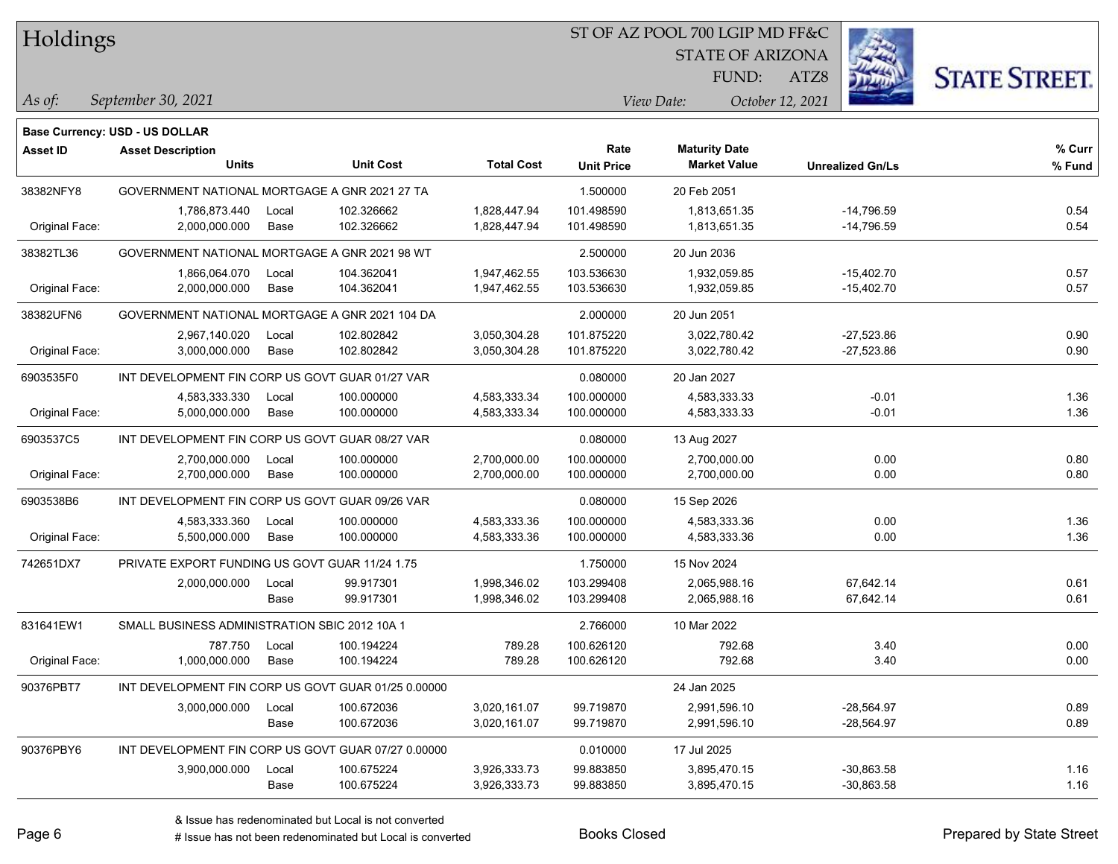### ST OF AZ POOL 700 LGIP MD FF&C

STATE OF ARIZONA

ATZ8



*September 30, 2021 As of: View Date: October 12, 2021*

**Base Currency: USD - US DOLLAR**

FUND:

| <b>Asset ID</b> | <b>Asset Description</b>                            |       |                  |                   | Rate              | <b>Maturity Date</b> |                         | % Curr |
|-----------------|-----------------------------------------------------|-------|------------------|-------------------|-------------------|----------------------|-------------------------|--------|
|                 | <b>Units</b>                                        |       | <b>Unit Cost</b> | <b>Total Cost</b> | <b>Unit Price</b> | <b>Market Value</b>  | <b>Unrealized Gn/Ls</b> | % Fund |
| 38382NFY8       | GOVERNMENT NATIONAL MORTGAGE A GNR 2021 27 TA       |       |                  |                   | 1.500000          | 20 Feb 2051          |                         |        |
|                 | 1,786,873.440                                       | Local | 102.326662       | 1,828,447.94      | 101.498590        | 1,813,651.35         | $-14,796.59$            | 0.54   |
| Original Face:  | 2,000,000.000                                       | Base  | 102.326662       | 1,828,447.94      | 101.498590        | 1,813,651.35         | $-14,796.59$            | 0.54   |
| 38382TL36       | GOVERNMENT NATIONAL MORTGAGE A GNR 2021 98 WT       |       |                  |                   | 2.500000          | 20 Jun 2036          |                         |        |
|                 | 1,866,064.070                                       | Local | 104.362041       | 1,947,462.55      | 103.536630        | 1.932.059.85         | $-15,402.70$            | 0.57   |
| Original Face:  | 2,000,000.000                                       | Base  | 104.362041       | 1,947,462.55      | 103.536630        | 1,932,059.85         | $-15,402.70$            | 0.57   |
| 38382UFN6       | GOVERNMENT NATIONAL MORTGAGE A GNR 2021 104 DA      |       |                  |                   | 2.000000          | 20 Jun 2051          |                         |        |
|                 | 2,967,140.020                                       | Local | 102.802842       | 3,050,304.28      | 101.875220        | 3,022,780.42         | $-27,523.86$            | 0.90   |
| Original Face:  | 3,000,000.000                                       | Base  | 102.802842       | 3,050,304.28      | 101.875220        | 3,022,780.42         | $-27,523.86$            | 0.90   |
| 6903535F0       | INT DEVELOPMENT FIN CORP US GOVT GUAR 01/27 VAR     |       |                  |                   | 0.080000          | 20 Jan 2027          |                         |        |
|                 | 4,583,333.330                                       | Local | 100.000000       | 4,583,333.34      | 100.000000        | 4,583,333.33         | $-0.01$                 | 1.36   |
| Original Face:  | 5,000,000.000                                       | Base  | 100.000000       | 4,583,333.34      | 100.000000        | 4,583,333.33         | $-0.01$                 | 1.36   |
| 6903537C5       | INT DEVELOPMENT FIN CORP US GOVT GUAR 08/27 VAR     |       |                  |                   | 0.080000          | 13 Aug 2027          |                         |        |
|                 | 2,700,000.000                                       | Local | 100.000000       | 2,700,000.00      | 100.000000        | 2,700,000.00         | 0.00                    | 0.80   |
| Original Face:  | 2,700,000.000                                       | Base  | 100.000000       | 2,700,000.00      | 100.000000        | 2,700,000.00         | 0.00                    | 0.80   |
| 6903538B6       | INT DEVELOPMENT FIN CORP US GOVT GUAR 09/26 VAR     |       |                  |                   | 0.080000          | 15 Sep 2026          |                         |        |
|                 | 4,583,333.360                                       | Local | 100.000000       | 4,583,333.36      | 100.000000        | 4,583,333.36         | 0.00                    | 1.36   |
| Original Face:  | 5,500,000.000                                       | Base  | 100.000000       | 4,583,333.36      | 100.000000        | 4,583,333.36         | 0.00                    | 1.36   |
| 742651DX7       | PRIVATE EXPORT FUNDING US GOVT GUAR 11/24 1.75      |       |                  |                   | 1.750000          | 15 Nov 2024          |                         |        |
|                 | 2,000,000.000                                       | Local | 99.917301        | 1,998,346.02      | 103.299408        | 2,065,988.16         | 67,642.14               | 0.61   |
|                 |                                                     | Base  | 99.917301        | 1,998,346.02      | 103.299408        | 2,065,988.16         | 67,642.14               | 0.61   |
| 831641EW1       | SMALL BUSINESS ADMINISTRATION SBIC 2012 10A 1       |       |                  |                   | 2.766000          | 10 Mar 2022          |                         |        |
|                 | 787.750                                             | Local | 100.194224       | 789.28            | 100.626120        | 792.68               | 3.40                    | 0.00   |
| Original Face:  | 1,000,000.000                                       | Base  | 100.194224       | 789.28            | 100.626120        | 792.68               | 3.40                    | 0.00   |
| 90376PBT7       | INT DEVELOPMENT FIN CORP US GOVT GUAR 01/25 0.00000 |       |                  |                   |                   | 24 Jan 2025          |                         |        |
|                 | 3,000,000.000                                       | Local | 100.672036       | 3,020,161.07      | 99.719870         | 2,991,596.10         | $-28,564.97$            | 0.89   |
|                 |                                                     | Base  | 100.672036       | 3,020,161.07      | 99.719870         | 2,991,596.10         | $-28,564.97$            | 0.89   |
| 90376PBY6       | INT DEVELOPMENT FIN CORP US GOVT GUAR 07/27 0.00000 |       |                  |                   | 0.010000          | 17 Jul 2025          |                         |        |
|                 | 3,900,000.000                                       | Local | 100.675224       | 3,926,333.73      | 99.883850         | 3,895,470.15         | $-30,863.58$            | 1.16   |
|                 |                                                     | Base  | 100.675224       | 3,926,333.73      | 99.883850         | 3,895,470.15         | $-30,863.58$            | 1.16   |

# Issue has not been redenominated but Local is converted Books Closed Prepared by State Street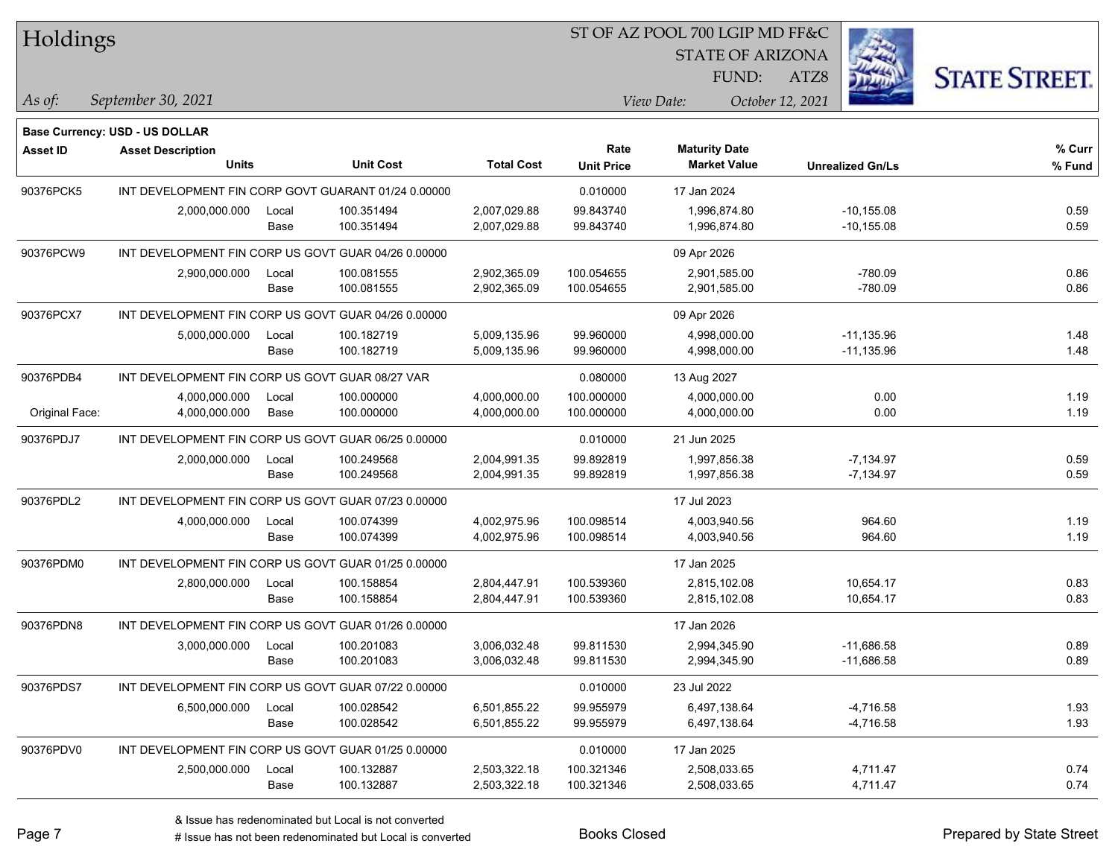| Holdings        |                                                     |       |                  |                   |                   | ST OF AZ POOL 700 LGIP MD FF&C |                  |                         |                      |
|-----------------|-----------------------------------------------------|-------|------------------|-------------------|-------------------|--------------------------------|------------------|-------------------------|----------------------|
|                 |                                                     |       |                  |                   |                   | <b>STATE OF ARIZONA</b>        |                  |                         |                      |
|                 |                                                     |       |                  |                   |                   | FUND:                          | ATZ8             |                         | <b>STATE STREET.</b> |
| $ $ As of:      | September 30, 2021                                  |       |                  |                   |                   | View Date:                     | October 12, 2021 |                         |                      |
|                 | <b>Base Currency: USD - US DOLLAR</b>               |       |                  |                   |                   |                                |                  |                         |                      |
| <b>Asset ID</b> | <b>Asset Description</b>                            |       |                  |                   | Rate              | <b>Maturity Date</b>           |                  |                         | % Curr               |
|                 | <b>Units</b>                                        |       | <b>Unit Cost</b> | <b>Total Cost</b> | <b>Unit Price</b> | <b>Market Value</b>            |                  | <b>Unrealized Gn/Ls</b> | % Fund               |
| 90376PCK5       | INT DEVELOPMENT FIN CORP GOVT GUARANT 01/24 0.00000 |       |                  |                   | 0.010000          | 17 Jan 2024                    |                  |                         |                      |
|                 | 2,000,000.000                                       | Local | 100.351494       | 2,007,029.88      | 99.843740         | 1,996,874.80                   |                  | $-10, 155.08$           | 0.59                 |
|                 |                                                     | Base  | 100.351494       | 2,007,029.88      | 99.843740         | 1,996,874.80                   |                  | $-10, 155.08$           | 0.59                 |
| 90376PCW9       | INT DEVELOPMENT FIN CORP US GOVT GUAR 04/26 0.00000 |       |                  |                   |                   | 09 Apr 2026                    |                  |                         |                      |
|                 | 2,900,000.000                                       | Local | 100.081555       | 2,902,365.09      | 100.054655        | 2,901,585.00                   |                  | $-780.09$               | 0.86                 |
|                 |                                                     | Base  | 100.081555       | 2,902,365.09      | 100.054655        | 2,901,585.00                   |                  | $-780.09$               | 0.86                 |
| 90376PCX7       | INT DEVELOPMENT FIN CORP US GOVT GUAR 04/26 0.00000 |       |                  |                   |                   | 09 Apr 2026                    |                  |                         |                      |
|                 | 5,000,000.000                                       | Local | 100.182719       | 5,009,135.96      | 99.960000         | 4,998,000.00                   |                  | -11,135.96              | 1.48                 |
|                 |                                                     | Base  | 100.182719       | 5,009,135.96      | 99.960000         | 4,998,000.00                   |                  | $-11,135.96$            | 1.48                 |
| 90376PDB4       | INT DEVELOPMENT FIN CORP US GOVT GUAR 08/27 VAR     |       |                  |                   | 0.080000          | 13 Aug 2027                    |                  |                         |                      |
|                 | 4,000,000.000                                       | Local | 100.000000       | 4,000,000.00      | 100.000000        | 4,000,000.00                   |                  | 0.00                    | 1.19                 |
| Original Face:  | 4,000,000.000                                       | Base  | 100.000000       | 4,000,000.00      | 100.000000        | 4,000,000.00                   |                  | 0.00                    | 1.19                 |
| 90376PDJ7       | INT DEVELOPMENT FIN CORP US GOVT GUAR 06/25 0.00000 |       |                  | 0.010000          | 21 Jun 2025       |                                |                  |                         |                      |
|                 | 2,000,000.000                                       | Local | 100.249568       | 2,004,991.35      | 99.892819         | 1,997,856.38                   |                  | $-7,134.97$             | 0.59                 |
|                 |                                                     | Base  | 100.249568       | 2,004,991.35      | 99.892819         | 1,997,856.38                   |                  | $-7,134.97$             | 0.59                 |
| 90376PDL2       | INT DEVELOPMENT FIN CORP US GOVT GUAR 07/23 0.00000 |       |                  |                   |                   | 17 Jul 2023                    |                  |                         |                      |
|                 | 4,000,000.000                                       | Local | 100.074399       | 4,002,975.96      | 100.098514        | 4,003,940.56                   |                  | 964.60                  | 1.19                 |
|                 |                                                     | Base  | 100.074399       | 4,002,975.96      | 100.098514        | 4,003,940.56                   |                  | 964.60                  | 1.19                 |
| 90376PDM0       | INT DEVELOPMENT FIN CORP US GOVT GUAR 01/25 0.00000 |       |                  |                   |                   | 17 Jan 2025                    |                  |                         |                      |
|                 | 2,800,000.000                                       | Local | 100.158854       | 2,804,447.91      | 100.539360        | 2,815,102.08                   |                  | 10,654.17               | 0.83                 |
|                 |                                                     | Base  | 100.158854       | 2,804,447.91      | 100.539360        | 2,815,102.08                   |                  | 10,654.17               | 0.83                 |
| 90376PDN8       | INT DEVELOPMENT FIN CORP US GOVT GUAR 01/26 0.00000 |       |                  |                   |                   | 17 Jan 2026                    |                  |                         |                      |
|                 | 3,000,000.000                                       | Local | 100.201083       | 3,006,032.48      | 99.811530         | 2,994,345.90                   |                  | $-11,686.58$            | 0.89                 |
|                 |                                                     | Base  | 100.201083       | 3,006,032.48      | 99.811530         | 2,994,345.90                   |                  | $-11,686.58$            | 0.89                 |
| 90376PDS7       | INT DEVELOPMENT FIN CORP US GOVT GUAR 07/22 0.00000 |       |                  |                   | 0.010000          | 23 Jul 2022                    |                  |                         |                      |
|                 | 6,500,000.000                                       | Local | 100.028542       | 6,501,855.22      | 99.955979         | 6,497,138.64                   |                  | $-4,716.58$             | 1.93                 |
|                 |                                                     | Base  | 100.028542       | 6,501,855.22      | 99.955979         | 6,497,138.64                   |                  | $-4,716.58$             | 1.93                 |
| 90376PDV0       | INT DEVELOPMENT FIN CORP US GOVT GUAR 01/25 0.00000 |       |                  |                   | 0.010000          | 17 Jan 2025                    |                  |                         |                      |
|                 | 2,500,000.000                                       | Local | 100.132887       | 2,503,322.18      | 100.321346        | 2,508,033.65                   |                  | 4,711.47                | 0.74                 |
|                 |                                                     | Base  | 100.132887       | 2,503,322.18      | 100.321346        | 2,508,033.65                   |                  | 4,711.47                | 0.74                 |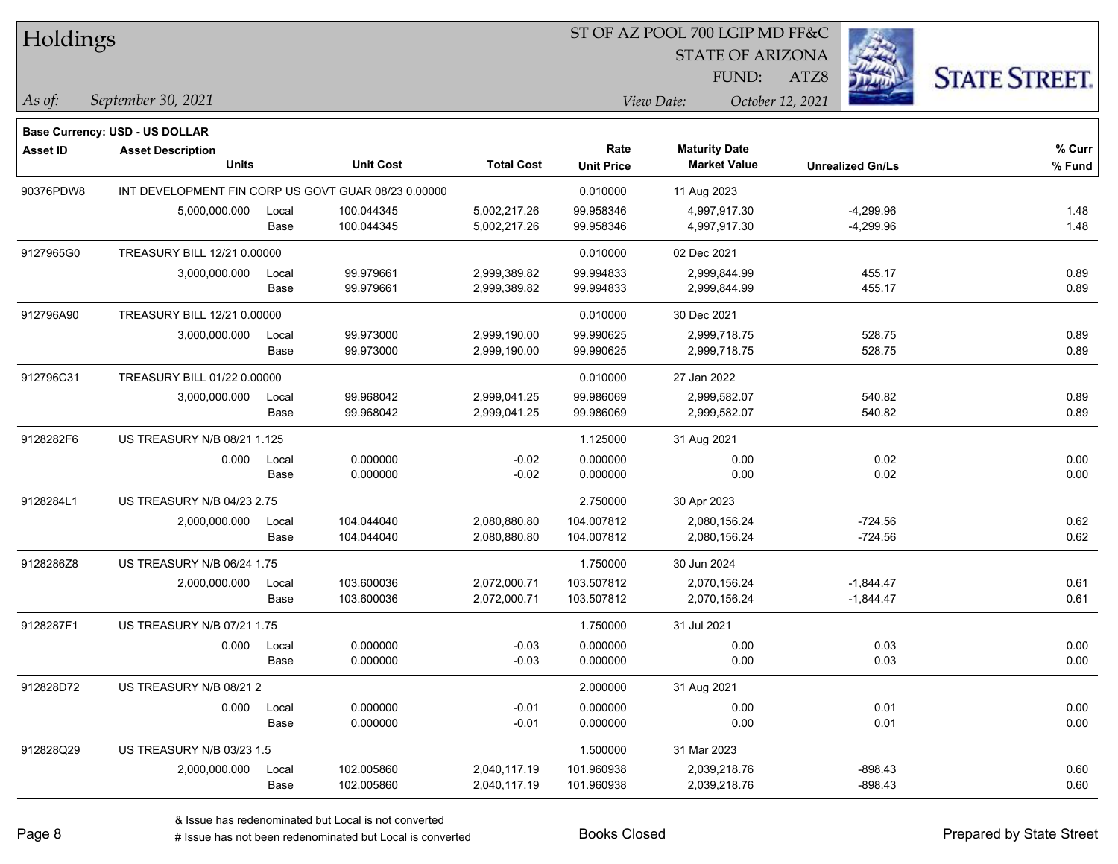| Holdings |
|----------|
|----------|

### ST OF AZ POOL 700 LGIP MD FF&C

STATE OF ARIZONA

ATZ8



*September 30, 2021 As of: View Date: October 12, 2021*

**Base Currency: USD - US DOLLAR**

FUND:

| <b>Asset ID</b> | <b>Asset Description</b>                            |       |                  |                   | Rate              | <b>Maturity Date</b> |                         | % Curr |
|-----------------|-----------------------------------------------------|-------|------------------|-------------------|-------------------|----------------------|-------------------------|--------|
|                 | <b>Units</b>                                        |       | <b>Unit Cost</b> | <b>Total Cost</b> | <b>Unit Price</b> | <b>Market Value</b>  | <b>Unrealized Gn/Ls</b> | % Fund |
| 90376PDW8       | INT DEVELOPMENT FIN CORP US GOVT GUAR 08/23 0.00000 |       |                  | 0.010000          | 11 Aug 2023       |                      |                         |        |
|                 | 5,000,000.000                                       | Local | 100.044345       | 5,002,217.26      | 99.958346         | 4,997,917.30         | $-4,299.96$             | 1.48   |
|                 |                                                     | Base  | 100.044345       | 5,002,217.26      | 99.958346         | 4,997,917.30         | $-4,299.96$             | 1.48   |
| 9127965G0       | TREASURY BILL 12/21 0.00000                         |       |                  |                   | 0.010000          | 02 Dec 2021          |                         |        |
|                 | 3,000,000.000                                       | Local | 99.979661        | 2,999,389.82      | 99.994833         | 2,999,844.99         | 455.17                  | 0.89   |
|                 |                                                     | Base  | 99.979661        | 2,999,389.82      | 99.994833         | 2,999,844.99         | 455.17                  | 0.89   |
| 912796A90       | TREASURY BILL 12/21 0.00000                         |       |                  | 0.010000          | 30 Dec 2021       |                      |                         |        |
|                 | 3,000,000.000                                       | Local | 99.973000        | 2,999,190.00      | 99.990625         | 2,999,718.75         | 528.75                  | 0.89   |
|                 |                                                     | Base  | 99.973000        | 2,999,190.00      | 99.990625         | 2,999,718.75         | 528.75                  | 0.89   |
| 912796C31       | TREASURY BILL 01/22 0.00000                         |       |                  |                   | 0.010000          | 27 Jan 2022          |                         |        |
|                 | 3,000,000.000                                       | Local | 99.968042        | 2,999,041.25      | 99.986069         | 2,999,582.07         | 540.82                  | 0.89   |
|                 |                                                     | Base  | 99.968042        | 2,999,041.25      | 99.986069         | 2,999,582.07         | 540.82                  | 0.89   |
| 9128282F6       | <b>US TREASURY N/B 08/21 1.125</b>                  |       |                  |                   | 1.125000          | 31 Aug 2021          |                         |        |
|                 | 0.000                                               | Local | 0.000000         | $-0.02$           | 0.000000          | 0.00                 | 0.02                    | 0.00   |
|                 |                                                     | Base  | 0.000000         | $-0.02$           | 0.000000          | 0.00                 | 0.02                    | 0.00   |
| 9128284L1       | <b>US TREASURY N/B 04/23 2.75</b>                   |       |                  |                   | 2.750000          | 30 Apr 2023          |                         |        |
|                 | 2,000,000.000                                       | Local | 104.044040       | 2,080,880.80      | 104.007812        | 2,080,156.24         | $-724.56$               | 0.62   |
|                 |                                                     | Base  | 104.044040       | 2,080,880.80      | 104.007812        | 2,080,156.24         | $-724.56$               | 0.62   |
| 9128286Z8       | US TREASURY N/B 06/24 1.75                          |       |                  |                   | 1.750000          | 30 Jun 2024          |                         |        |
|                 | 2,000,000.000                                       | Local | 103.600036       | 2,072,000.71      | 103.507812        | 2,070,156.24         | $-1,844.47$             | 0.61   |
|                 |                                                     | Base  | 103.600036       | 2,072,000.71      | 103.507812        | 2,070,156.24         | $-1,844.47$             | 0.61   |
| 9128287F1       | <b>US TREASURY N/B 07/21 1.75</b>                   |       |                  |                   | 1.750000          | 31 Jul 2021          |                         |        |
|                 | 0.000                                               | Local | 0.000000         | $-0.03$           | 0.000000          | 0.00                 | 0.03                    | 0.00   |
|                 |                                                     | Base  | 0.000000         | $-0.03$           | 0.000000          | 0.00                 | 0.03                    | 0.00   |
| 912828D72       | US TREASURY N/B 08/212                              |       |                  |                   | 2.000000          | 31 Aug 2021          |                         |        |
|                 | 0.000                                               | Local | 0.000000         | $-0.01$           | 0.000000          | 0.00                 | 0.01                    | 0.00   |
|                 |                                                     | Base  | 0.000000         | $-0.01$           | 0.000000          | 0.00                 | 0.01                    | 0.00   |
| 912828Q29       | US TREASURY N/B 03/23 1.5                           |       |                  |                   | 1.500000          | 31 Mar 2023          |                         |        |
|                 | 2,000,000.000                                       | Local | 102.005860       | 2,040,117.19      | 101.960938        | 2,039,218.76         | $-898.43$               | 0.60   |
|                 |                                                     | Base  | 102.005860       | 2,040,117.19      | 101.960938        | 2,039,218.76         | $-898.43$               | 0.60   |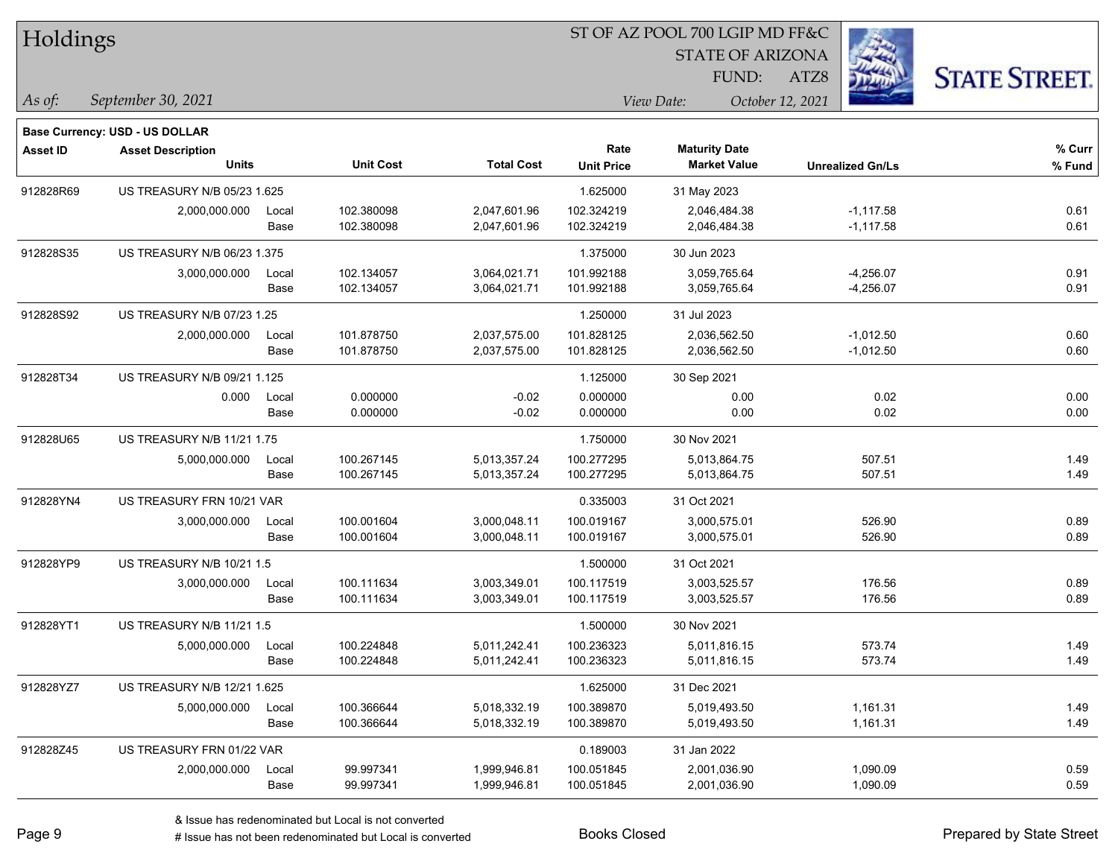| Holdings  |                                          |       |                  |                   | 51 OF AZ POOL 700 LGIP MD FF&C |                                             |                         |                     |
|-----------|------------------------------------------|-------|------------------|-------------------|--------------------------------|---------------------------------------------|-------------------------|---------------------|
|           |                                          |       |                  |                   |                                | <b>STATE OF ARIZONA</b>                     |                         |                     |
|           |                                          |       |                  |                   |                                | FUND:                                       | ATZ8                    | <b>STATE STREET</b> |
| $As$ of:  | September 30, 2021                       |       |                  |                   |                                | View Date:                                  | October 12, 2021        |                     |
|           |                                          |       |                  |                   |                                |                                             |                         |                     |
|           | Base Currency: USD - US DOLLAR           |       |                  |                   |                                |                                             |                         |                     |
| Asset ID  | <b>Asset Description</b><br><b>Units</b> |       | <b>Unit Cost</b> | <b>Total Cost</b> | Rate<br><b>Unit Price</b>      | <b>Maturity Date</b><br><b>Market Value</b> | <b>Unrealized Gn/Ls</b> | % Curr<br>% Fund    |
|           |                                          |       |                  |                   |                                |                                             |                         |                     |
| 912828R69 | US TREASURY N/B 05/23 1.625              |       |                  |                   | 1.625000                       | 31 May 2023                                 |                         |                     |
|           | 2,000,000.000                            | Local | 102.380098       | 2,047,601.96      | 102.324219                     | 2,046,484.38                                | $-1,117.58$             | 0.61                |
|           |                                          | Base  | 102.380098       | 2,047,601.96      | 102.324219                     | 2,046,484.38                                | $-1,117.58$             | 0.61                |
| 912828S35 | US TREASURY N/B 06/23 1.375              |       |                  |                   | 1.375000                       | 30 Jun 2023                                 |                         |                     |
|           | 3,000,000.000                            | Local | 102.134057       | 3,064,021.71      | 101.992188                     | 3,059,765.64                                | $-4,256.07$             | 0.91                |
|           |                                          | Base  | 102.134057       | 3,064,021.71      | 101.992188                     | 3,059,765.64                                | $-4,256.07$             | 0.91                |
| 912828S92 | US TREASURY N/B 07/23 1.25               |       |                  |                   | 1.250000                       | 31 Jul 2023                                 |                         |                     |
|           | 2,000,000.000                            | Local | 101.878750       | 2,037,575.00      | 101.828125                     | 2,036,562.50                                | $-1,012.50$             | 0.60                |
|           |                                          | Base  | 101.878750       | 2,037,575.00      | 101.828125                     | 2,036,562.50                                | $-1,012.50$             | 0.60                |
| 912828T34 | US TREASURY N/B 09/21 1.125              |       |                  |                   | 1.125000                       | 30 Sep 2021                                 |                         |                     |
|           | 0.000                                    | Local | 0.000000         | $-0.02$           | 0.000000                       | 0.00                                        | 0.02                    | 0.00                |
|           |                                          | Base  | 0.000000         | $-0.02$           | 0.000000                       | 0.00                                        | 0.02                    | 0.00                |
| 912828U65 | US TREASURY N/B 11/21 1.75               |       |                  |                   | 1.750000                       | 30 Nov 2021                                 |                         |                     |
|           | 5,000,000.000                            | Local | 100.267145       | 5,013,357.24      | 100.277295                     | 5,013,864.75                                | 507.51                  | 1.49                |
|           |                                          | Base  | 100.267145       | 5,013,357.24      | 100.277295                     | 5,013,864.75                                | 507.51                  | 1.49                |
| 912828YN4 | US TREASURY FRN 10/21 VAR                |       |                  |                   | 0.335003                       | 31 Oct 2021                                 |                         |                     |
|           | 3,000,000.000                            | Local | 100.001604       | 3,000,048.11      | 100.019167                     | 3,000,575.01                                | 526.90                  | 0.89                |
|           |                                          | Base  | 100.001604       | 3,000,048.11      | 100.019167                     | 3,000,575.01                                | 526.90                  | 0.89                |
| 912828YP9 | US TREASURY N/B 10/21 1.5                |       |                  |                   | 1.500000                       | 31 Oct 2021                                 |                         |                     |
|           | 3,000,000.000                            | Local | 100.111634       | 3,003,349.01      | 100.117519                     | 3,003,525.57                                | 176.56                  | 0.89                |
|           |                                          | Base  | 100.111634       | 3,003,349.01      | 100.117519                     | 3,003,525.57                                | 176.56                  | 0.89                |
| 912828YT1 | US TREASURY N/B 11/21 1.5                |       |                  |                   | 1.500000                       | 30 Nov 2021                                 |                         |                     |
|           | 5,000,000.000                            | Local | 100.224848       | 5,011,242.41      | 100.236323                     | 5,011,816.15                                | 573.74                  | 1.49                |
|           |                                          | Base  | 100.224848       | 5,011,242.41      | 100.236323                     | 5,011,816.15                                | 573.74                  | 1.49                |
| 912828YZ7 | US TREASURY N/B 12/21 1.625              |       |                  |                   | 1.625000                       | 31 Dec 2021                                 |                         |                     |
|           | 5,000,000.000                            | Local | 100.366644       | 5,018,332.19      | 100.389870                     | 5,019,493.50                                | 1,161.31                | 1.49                |
|           |                                          | Base  | 100.366644       | 5,018,332.19      | 100.389870                     | 5,019,493.50                                | 1,161.31                | 1.49                |
| 912828Z45 | US TREASURY FRN 01/22 VAR                |       |                  |                   | 0.189003                       | 31 Jan 2022                                 |                         |                     |
|           | 2,000,000.000                            | Local | 99.997341        | 1,999,946.81      | 100.051845                     | 2,001,036.90                                | 1,090.09                | 0.59                |
|           |                                          | Base  | 99.997341        | 1,999,946.81      | 100.051845                     | 2,001,036.90                                | 1,090.09                | 0.59                |

 $ST$  OF A Z POOL 700 LCIP MD FF&C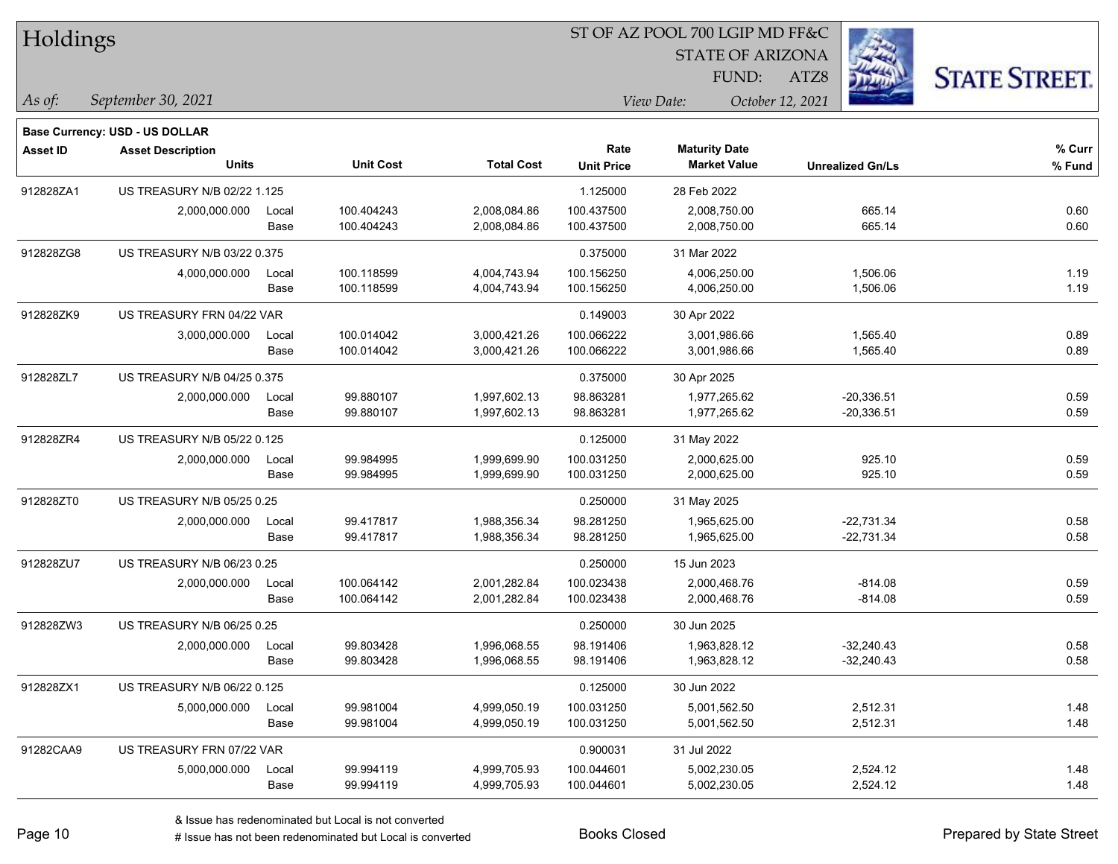| Holdings        |                                |       |                  |                   | ST OF AZ POOL 700 LGIP MD FF&C |                         |                         |                      |  |  |
|-----------------|--------------------------------|-------|------------------|-------------------|--------------------------------|-------------------------|-------------------------|----------------------|--|--|
|                 |                                |       |                  |                   |                                | <b>STATE OF ARIZONA</b> |                         |                      |  |  |
|                 |                                |       |                  |                   |                                | FUND:                   | ATZ8                    | <b>STATE STREET.</b> |  |  |
| As of:          | September 30, 2021             |       |                  |                   |                                | View Date:              | October 12, 2021        |                      |  |  |
|                 | Base Currency: USD - US DOLLAR |       |                  |                   |                                |                         |                         |                      |  |  |
| <b>Asset ID</b> | <b>Asset Description</b>       |       |                  |                   | Rate                           | <b>Maturity Date</b>    |                         | % Curr               |  |  |
|                 | <b>Units</b>                   |       | <b>Unit Cost</b> | <b>Total Cost</b> | <b>Unit Price</b>              | <b>Market Value</b>     | <b>Unrealized Gn/Ls</b> | % Fund               |  |  |
| 912828ZA1       | US TREASURY N/B 02/22 1.125    |       |                  |                   | 1.125000                       | 28 Feb 2022             |                         |                      |  |  |
|                 | 2,000,000.000                  | Local | 100.404243       | 2,008,084.86      | 100.437500                     | 2,008,750.00            | 665.14                  | 0.60                 |  |  |
|                 |                                | Base  | 100.404243       | 2,008,084.86      | 100.437500                     | 2,008,750.00            | 665.14                  | 0.60                 |  |  |
| 912828ZG8       | US TREASURY N/B 03/22 0.375    |       |                  |                   | 0.375000                       | 31 Mar 2022             |                         |                      |  |  |
|                 | 4,000,000.000                  | Local | 100.118599       | 4,004,743.94      | 100.156250                     | 4,006,250.00            | 1,506.06                | 1.19                 |  |  |
|                 |                                | Base  | 100.118599       | 4,004,743.94      | 100.156250                     | 4,006,250.00            | 1,506.06                | 1.19                 |  |  |
| 912828ZK9       | US TREASURY FRN 04/22 VAR      |       |                  |                   | 0.149003                       | 30 Apr 2022             |                         |                      |  |  |
|                 | 3,000,000.000                  | Local | 100.014042       | 3,000,421.26      | 100.066222                     | 3,001,986.66            | 1,565.40                | 0.89                 |  |  |
|                 |                                | Base  | 100.014042       | 3,000,421.26      | 100.066222                     | 3,001,986.66            | 1,565.40                | 0.89                 |  |  |
| 912828ZL7       | US TREASURY N/B 04/25 0.375    |       |                  |                   | 0.375000                       | 30 Apr 2025             |                         |                      |  |  |
|                 | 2,000,000.000                  | Local | 99.880107        | 1,997,602.13      | 98.863281                      | 1,977,265.62            | $-20,336.51$            | 0.59                 |  |  |
|                 |                                | Base  | 99.880107        | 1,997,602.13      | 98.863281                      | 1,977,265.62            | $-20,336.51$            | 0.59                 |  |  |
| 912828ZR4       | US TREASURY N/B 05/22 0.125    |       |                  |                   | 0.125000                       | 31 May 2022             |                         |                      |  |  |
|                 | 2,000,000.000                  | Local | 99.984995        | 1,999,699.90      | 100.031250                     | 2,000,625.00            | 925.10                  | 0.59                 |  |  |
|                 |                                | Base  | 99.984995        | 1,999,699.90      | 100.031250                     | 2,000,625.00            | 925.10                  | 0.59                 |  |  |
| 912828ZT0       | US TREASURY N/B 05/25 0.25     |       |                  |                   | 0.250000                       | 31 May 2025             |                         |                      |  |  |
|                 | 2,000,000.000                  | Local | 99.417817        | 1,988,356.34      | 98.281250                      | 1,965,625.00            | $-22,731.34$            | 0.58                 |  |  |
|                 |                                | Base  | 99.417817        | 1,988,356.34      | 98.281250                      | 1,965,625.00            | $-22,731.34$            | 0.58                 |  |  |
| 912828ZU7       | US TREASURY N/B 06/23 0.25     |       |                  |                   | 0.250000                       | 15 Jun 2023             |                         |                      |  |  |
|                 | 2,000,000.000                  | Local | 100.064142       | 2,001,282.84      | 100.023438                     | 2,000,468.76            | $-814.08$               | 0.59                 |  |  |
|                 |                                | Base  | 100.064142       | 2,001,282.84      | 100.023438                     | 2,000,468.76            | $-814.08$               | 0.59                 |  |  |
| 912828ZW3       | US TREASURY N/B 06/25 0.25     |       |                  |                   | 0.250000                       | 30 Jun 2025             |                         |                      |  |  |
|                 | 2,000,000.000                  | Local | 99.803428        | 1,996,068.55      | 98.191406                      | 1,963,828.12            | $-32,240.43$            | 0.58                 |  |  |
|                 |                                | Base  | 99.803428        | 1,996,068.55      | 98.191406                      | 1,963,828.12            | $-32,240.43$            | 0.58                 |  |  |
| 912828ZX1       | US TREASURY N/B 06/22 0.125    |       |                  |                   | 0.125000                       | 30 Jun 2022             |                         |                      |  |  |
|                 | 5,000,000.000                  | Local | 99.981004        | 4,999,050.19      | 100.031250                     | 5,001,562.50            | 2,512.31                | 1.48                 |  |  |
|                 |                                | Base  | 99.981004        | 4,999,050.19      | 100.031250                     | 5,001,562.50            | 2,512.31                | 1.48                 |  |  |
| 91282CAA9       | US TREASURY FRN 07/22 VAR      |       |                  |                   | 0.900031                       | 31 Jul 2022             |                         |                      |  |  |
|                 | 5,000,000.000                  | Local | 99.994119        | 4,999,705.93      | 100.044601                     | 5,002,230.05            | 2,524.12                | 1.48                 |  |  |
|                 |                                | Base  | 99.994119        | 4,999,705.93      | 100.044601                     | 5,002,230.05            | 2,524.12                | 1.48                 |  |  |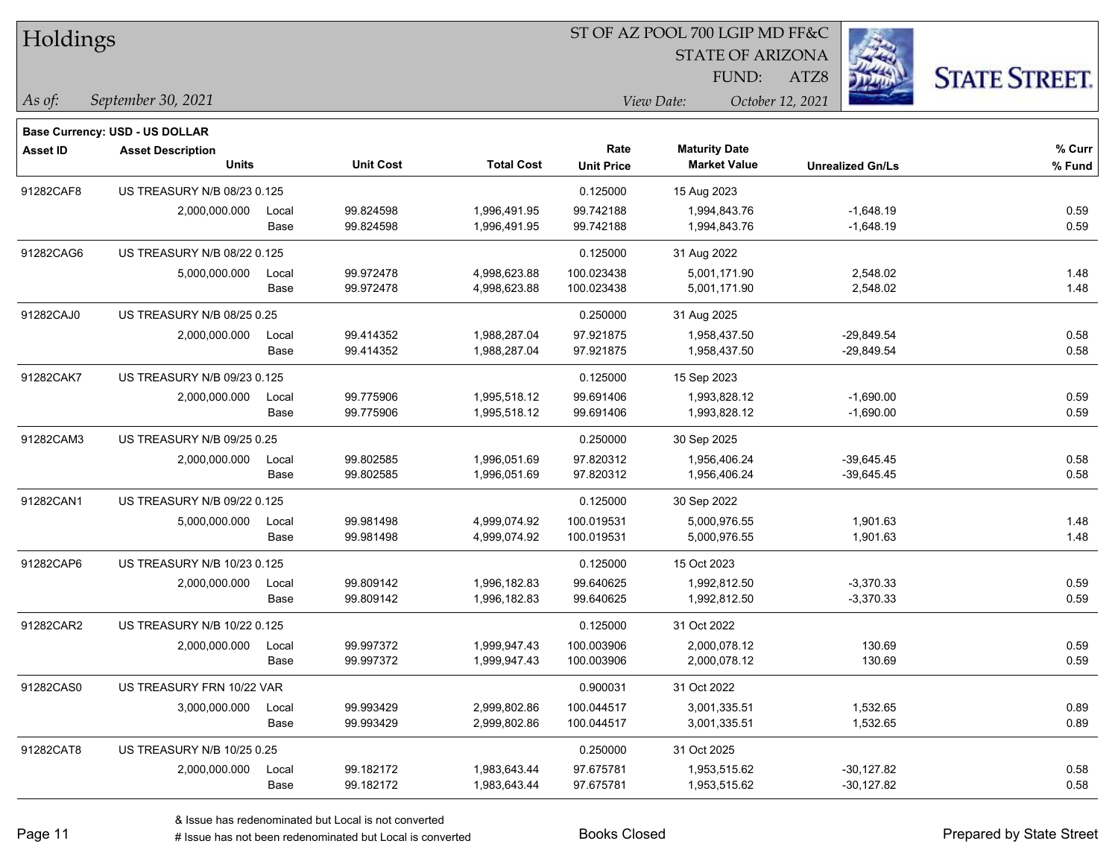| Holdings        |                                          |               |                        |                              |                           | ST OF AZ POOL 700 LGIP MD FF&C              |                            |                      |  |
|-----------------|------------------------------------------|---------------|------------------------|------------------------------|---------------------------|---------------------------------------------|----------------------------|----------------------|--|
|                 |                                          |               |                        |                              |                           | <b>STATE OF ARIZONA</b>                     |                            |                      |  |
|                 |                                          |               |                        |                              |                           | FUND:                                       | ATZ8                       | <b>STATE STREET.</b> |  |
| $\vert$ As of:  | September 30, 2021                       |               |                        |                              |                           | View Date:                                  | October 12, 2021           |                      |  |
|                 |                                          |               |                        |                              |                           |                                             |                            |                      |  |
|                 | <b>Base Currency: USD - US DOLLAR</b>    |               |                        |                              |                           |                                             |                            |                      |  |
| <b>Asset ID</b> | <b>Asset Description</b><br><b>Units</b> |               | <b>Unit Cost</b>       | <b>Total Cost</b>            | Rate<br><b>Unit Price</b> | <b>Maturity Date</b><br><b>Market Value</b> | <b>Unrealized Gn/Ls</b>    | % Curr<br>% Fund     |  |
|                 |                                          |               |                        |                              |                           |                                             |                            |                      |  |
| 91282CAF8       | US TREASURY N/B 08/23 0.125              |               |                        |                              | 0.125000                  | 15 Aug 2023                                 |                            |                      |  |
|                 | 2,000,000.000                            | Local<br>Base | 99.824598<br>99.824598 | 1,996,491.95<br>1,996,491.95 | 99.742188<br>99.742188    | 1,994,843.76<br>1,994,843.76                | $-1,648.19$<br>$-1,648.19$ | 0.59<br>0.59         |  |
|                 |                                          |               |                        |                              |                           |                                             |                            |                      |  |
| 91282CAG6       | US TREASURY N/B 08/22 0.125              |               |                        |                              | 0.125000                  | 31 Aug 2022                                 |                            |                      |  |
|                 | 5,000,000.000                            | Local         | 99.972478              | 4,998,623.88                 | 100.023438                | 5,001,171.90                                | 2,548.02                   | 1.48                 |  |
|                 |                                          | Base          | 99.972478              | 4,998,623.88                 | 100.023438                | 5,001,171.90                                | 2,548.02                   | 1.48                 |  |
| 91282CAJ0       | US TREASURY N/B 08/25 0.25               |               |                        |                              | 0.250000                  | 31 Aug 2025                                 |                            |                      |  |
|                 | 2,000,000.000                            | Local         | 99.414352              | 1,988,287.04                 | 97.921875                 | 1,958,437.50                                | $-29,849.54$               | 0.58                 |  |
|                 |                                          | Base          | 99.414352              | 1,988,287.04                 | 97.921875                 | 1,958,437.50                                | $-29,849.54$               | 0.58                 |  |
| 91282CAK7       | US TREASURY N/B 09/23 0.125              |               |                        |                              | 0.125000                  | 15 Sep 2023                                 |                            |                      |  |
|                 | 2,000,000.000                            | Local         | 99.775906              | 1,995,518.12                 | 99.691406                 | 1,993,828.12                                | $-1,690.00$                | 0.59                 |  |
|                 |                                          | Base          | 99.775906              | 1,995,518.12                 | 99.691406                 | 1,993,828.12                                | $-1,690.00$                | 0.59                 |  |
| 91282CAM3       | US TREASURY N/B 09/25 0.25               |               |                        |                              | 0.250000                  | 30 Sep 2025                                 |                            |                      |  |
|                 | 2,000,000.000                            | Local         | 99.802585              | 1,996,051.69                 | 97.820312                 | 1,956,406.24                                | $-39,645.45$               | 0.58                 |  |
|                 |                                          | Base          | 99.802585              | 1,996,051.69                 | 97.820312                 | 1,956,406.24                                | $-39,645.45$               | 0.58                 |  |
| 91282CAN1       | US TREASURY N/B 09/22 0.125              |               |                        |                              | 0.125000                  | 30 Sep 2022                                 |                            |                      |  |
|                 | 5,000,000.000                            | Local         | 99.981498              | 4,999,074.92                 | 100.019531                | 5,000,976.55                                | 1,901.63                   | 1.48                 |  |
|                 |                                          | Base          | 99.981498              | 4,999,074.92                 | 100.019531                | 5,000,976.55                                | 1,901.63                   | 1.48                 |  |
| 91282CAP6       | US TREASURY N/B 10/23 0.125              |               |                        |                              | 0.125000                  | 15 Oct 2023                                 |                            |                      |  |
|                 | 2,000,000.000                            | Local         | 99.809142              | 1,996,182.83                 | 99.640625                 | 1,992,812.50                                | $-3,370.33$                | 0.59                 |  |
|                 |                                          | Base          | 99.809142              | 1,996,182.83                 | 99.640625                 | 1,992,812.50                                | $-3,370.33$                | 0.59                 |  |
| 91282CAR2       | US TREASURY N/B 10/22 0.125              |               |                        |                              | 0.125000                  | 31 Oct 2022                                 |                            |                      |  |
|                 | 2,000,000.000                            | Local         | 99.997372              | 1,999,947.43                 | 100.003906                | 2,000,078.12                                | 130.69                     | 0.59                 |  |
|                 |                                          | Base          | 99.997372              | 1,999,947.43                 | 100.003906                | 2,000,078.12                                | 130.69                     | 0.59                 |  |
| 91282CAS0       | US TREASURY FRN 10/22 VAR                |               |                        |                              | 0.900031                  | 31 Oct 2022                                 |                            |                      |  |
|                 | 3,000,000.000                            | Local         | 99.993429              | 2,999,802.86                 | 100.044517                | 3,001,335.51                                | 1,532.65                   | 0.89                 |  |
|                 |                                          | Base          | 99.993429              | 2,999,802.86                 | 100.044517                | 3,001,335.51                                | 1,532.65                   | 0.89                 |  |
| 91282CAT8       | US TREASURY N/B 10/25 0.25               |               |                        |                              | 0.250000                  | 31 Oct 2025                                 |                            |                      |  |
|                 | 2,000,000.000                            | Local         | 99.182172              | 1,983,643.44                 | 97.675781                 | 1,953,515.62                                | $-30,127.82$               | 0.58                 |  |
|                 |                                          | Base          | 99.182172              | 1,983,643.44                 | 97.675781                 | 1,953,515.62                                | $-30,127.82$               | 0.58                 |  |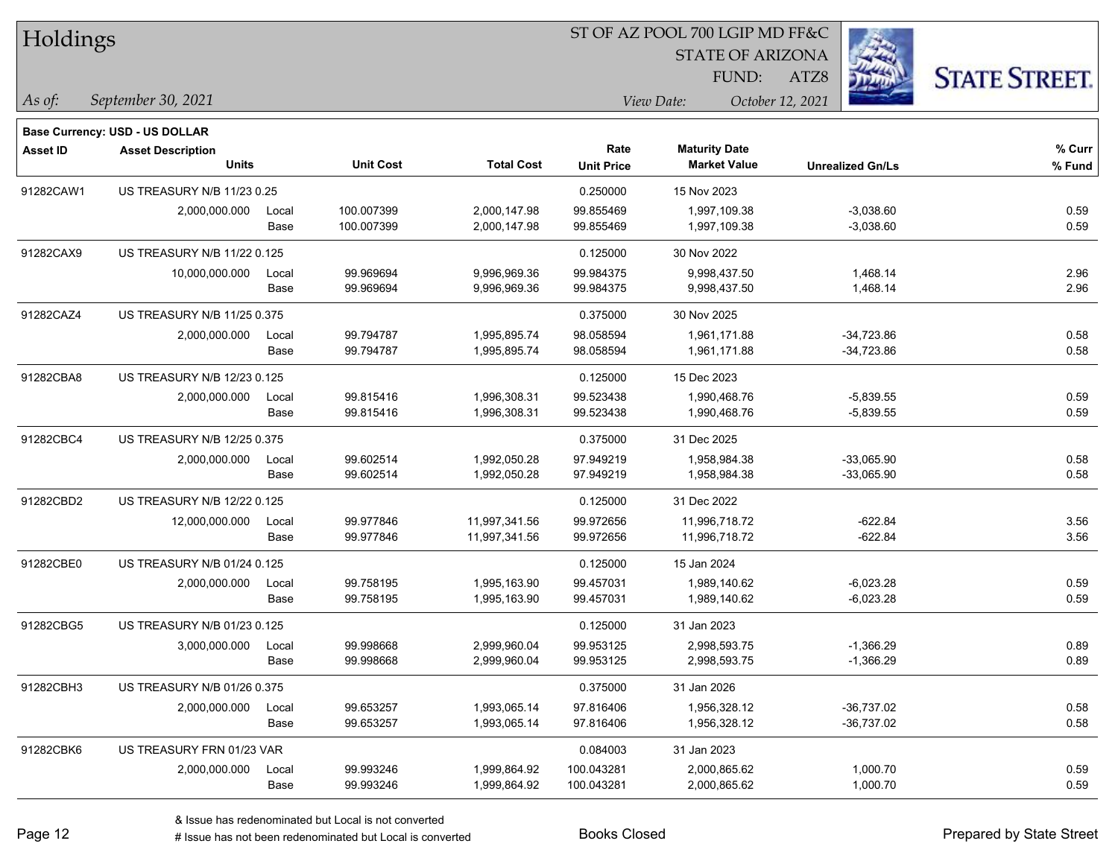| Holdings        |                                |       |                  |                   |                   | ST OF AZ POOL 700 LGIP MD FF&C |                         |                      |
|-----------------|--------------------------------|-------|------------------|-------------------|-------------------|--------------------------------|-------------------------|----------------------|
|                 |                                |       |                  |                   |                   | <b>STATE OF ARIZONA</b>        |                         |                      |
|                 |                                |       |                  |                   |                   | FUND:                          | فالمائي<br>ATZ8         | <b>STATE STREET.</b> |
| As of:          | September 30, 2021             |       |                  |                   |                   | View Date:                     | October 12, 2021        |                      |
|                 | Base Currency: USD - US DOLLAR |       |                  |                   |                   |                                |                         |                      |
| <b>Asset ID</b> | <b>Asset Description</b>       |       |                  |                   | Rate              | <b>Maturity Date</b>           |                         | % Curr               |
|                 | <b>Units</b>                   |       | <b>Unit Cost</b> | <b>Total Cost</b> | <b>Unit Price</b> | <b>Market Value</b>            | <b>Unrealized Gn/Ls</b> | % Fund               |
| 91282CAW1       | US TREASURY N/B 11/23 0.25     |       |                  |                   | 0.250000          | 15 Nov 2023                    |                         |                      |
|                 | 2,000,000.000                  | Local | 100.007399       | 2,000,147.98      | 99.855469         | 1,997,109.38                   | $-3,038.60$             | 0.59                 |
|                 |                                | Base  | 100.007399       | 2,000,147.98      | 99.855469         | 1,997,109.38                   | $-3,038.60$             | 0.59                 |
| 91282CAX9       | US TREASURY N/B 11/22 0.125    |       |                  |                   | 0.125000          | 30 Nov 2022                    |                         |                      |
|                 | 10,000,000.000                 | Local | 99.969694        | 9,996,969.36      | 99.984375         | 9,998,437.50                   | 1,468.14                | 2.96                 |
|                 |                                | Base  | 99.969694        | 9,996,969.36      | 99.984375         | 9,998,437.50                   | 1,468.14                | 2.96                 |
| 91282CAZ4       | US TREASURY N/B 11/25 0.375    |       |                  |                   | 0.375000          | 30 Nov 2025                    |                         |                      |
|                 | 2,000,000.000                  | Local | 99.794787        | 1,995,895.74      | 98.058594         | 1,961,171.88                   | $-34,723.86$            | 0.58                 |
|                 |                                | Base  | 99.794787        | 1,995,895.74      | 98.058594         | 1,961,171.88                   | $-34,723.86$            | 0.58                 |
| 91282CBA8       | US TREASURY N/B 12/23 0.125    |       |                  |                   | 0.125000          | 15 Dec 2023                    |                         |                      |
|                 | 2,000,000.000                  | Local | 99.815416        | 1,996,308.31      | 99.523438         | 1,990,468.76                   | $-5,839.55$             | 0.59                 |
|                 |                                | Base  | 99.815416        | 1,996,308.31      | 99.523438         | 1,990,468.76                   | $-5,839.55$             | 0.59                 |
| 91282CBC4       | US TREASURY N/B 12/25 0.375    |       |                  |                   | 0.375000          | 31 Dec 2025                    |                         |                      |
|                 | 2,000,000.000                  | Local | 99.602514        | 1,992,050.28      | 97.949219         | 1,958,984.38                   | $-33,065.90$            | 0.58                 |
|                 |                                | Base  | 99.602514        | 1,992,050.28      | 97.949219         | 1,958,984.38                   | $-33,065.90$            | 0.58                 |
| 91282CBD2       | US TREASURY N/B 12/22 0.125    |       |                  |                   | 0.125000          | 31 Dec 2022                    |                         |                      |
|                 | 12,000,000.000                 | Local | 99.977846        | 11,997,341.56     | 99.972656         | 11,996,718.72                  | $-622.84$               | 3.56                 |
|                 |                                | Base  | 99.977846        | 11,997,341.56     | 99.972656         | 11,996,718.72                  | $-622.84$               | 3.56                 |
| 91282CBE0       | US TREASURY N/B 01/24 0.125    |       |                  |                   | 0.125000          | 15 Jan 2024                    |                         |                      |
|                 | 2,000,000.000                  | Local | 99.758195        | 1,995,163.90      | 99.457031         | 1,989,140.62                   | $-6,023.28$             | 0.59                 |
|                 |                                | Base  | 99.758195        | 1,995,163.90      | 99.457031         | 1,989,140.62                   | $-6,023.28$             | 0.59                 |
| 91282CBG5       | US TREASURY N/B 01/23 0.125    |       |                  |                   | 0.125000          | 31 Jan 2023                    |                         |                      |
|                 | 3,000,000.000                  | Local | 99.998668        | 2,999,960.04      | 99.953125         | 2,998,593.75                   | $-1,366.29$             | 0.89                 |
|                 |                                | Base  | 99.998668        | 2,999,960.04      | 99.953125         | 2,998,593.75                   | $-1,366.29$             | 0.89                 |
| 91282CBH3       | US TREASURY N/B 01/26 0.375    |       |                  |                   | 0.375000          | 31 Jan 2026                    |                         |                      |
|                 | 2,000,000.000                  | Local | 99.653257        | 1,993,065.14      | 97.816406         | 1,956,328.12                   | $-36,737.02$            | 0.58                 |
|                 |                                | Base  | 99.653257        | 1,993,065.14      | 97.816406         | 1,956,328.12                   | $-36,737.02$            | 0.58                 |
| 91282CBK6       | US TREASURY FRN 01/23 VAR      |       |                  |                   | 0.084003          | 31 Jan 2023                    |                         |                      |
|                 | 2,000,000.000                  | Local | 99.993246        | 1,999,864.92      | 100.043281        | 2,000,865.62                   | 1,000.70                | 0.59                 |
|                 |                                | Base  | 99.993246        | 1,999,864.92      | 100.043281        | 2,000,865.62                   | 1,000.70                | 0.59                 |

-

 $\overline{\phantom{0}}$ 

÷.

ST OF AZ POOL 700 LGIP MD FF&C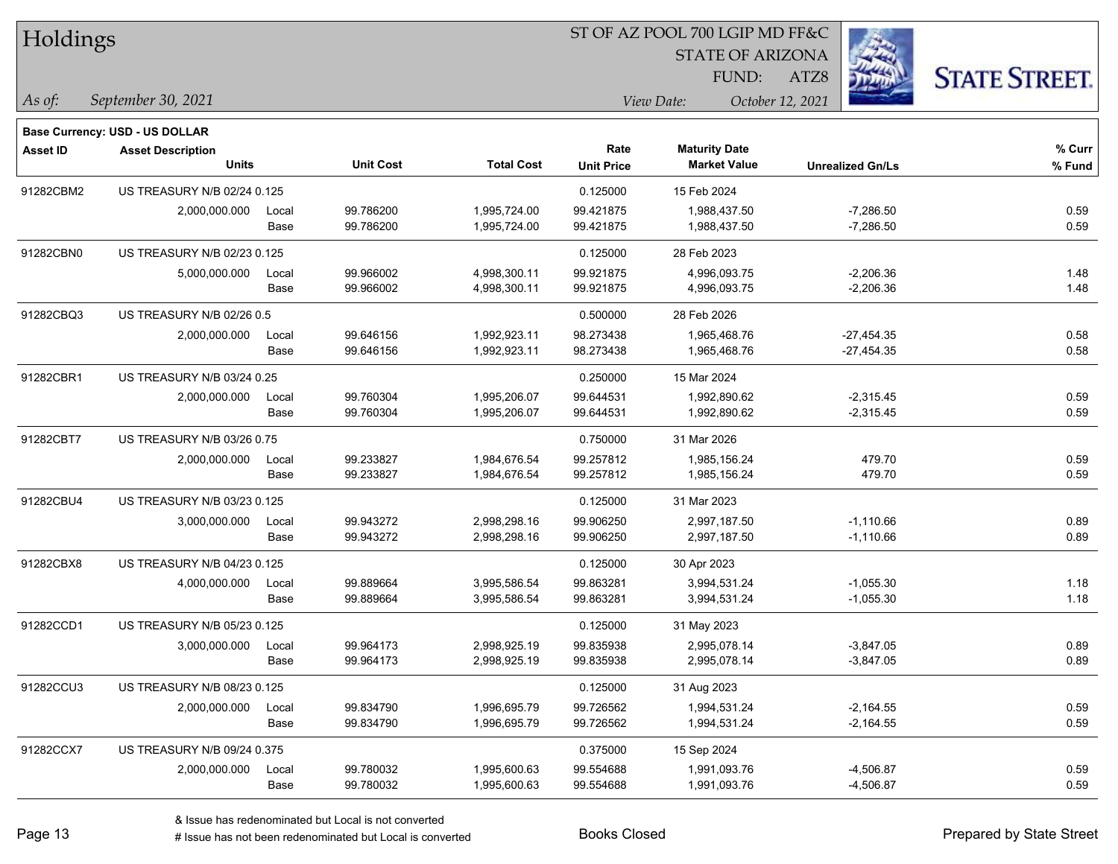| Holdings        |                                |       |                  |                   |                   | ST OF AZ POOL 700 LGIP MD FF&C |                         |                      |  |
|-----------------|--------------------------------|-------|------------------|-------------------|-------------------|--------------------------------|-------------------------|----------------------|--|
|                 |                                |       |                  |                   |                   | <b>STATE OF ARIZONA</b>        |                         |                      |  |
|                 |                                |       |                  |                   |                   | FUND:                          | ATZ8                    | <b>STATE STREET.</b> |  |
| $ $ As of:      | September 30, 2021             |       |                  |                   |                   | View Date:                     | October 12, 2021        |                      |  |
|                 | Base Currency: USD - US DOLLAR |       |                  |                   |                   |                                |                         |                      |  |
| <b>Asset ID</b> | <b>Asset Description</b>       |       |                  |                   | Rate              | <b>Maturity Date</b>           |                         | % Curr               |  |
|                 | <b>Units</b>                   |       | <b>Unit Cost</b> | <b>Total Cost</b> | <b>Unit Price</b> | <b>Market Value</b>            | <b>Unrealized Gn/Ls</b> | % Fund               |  |
| 91282CBM2       | US TREASURY N/B 02/24 0.125    |       |                  |                   | 0.125000          | 15 Feb 2024                    |                         |                      |  |
|                 | 2,000,000.000                  | Local | 99.786200        | 1,995,724.00      | 99.421875         | 1,988,437.50                   | $-7,286.50$             | 0.59                 |  |
|                 |                                | Base  | 99.786200        | 1,995,724.00      | 99.421875         | 1,988,437.50                   | $-7,286.50$             | 0.59                 |  |
| 91282CBN0       | US TREASURY N/B 02/23 0.125    |       |                  |                   | 0.125000          | 28 Feb 2023                    |                         |                      |  |
|                 | 5,000,000.000                  | Local | 99.966002        | 4,998,300.11      | 99.921875         | 4,996,093.75                   | $-2,206.36$             | 1.48                 |  |
|                 |                                | Base  | 99.966002        | 4,998,300.11      | 99.921875         | 4,996,093.75                   | $-2,206.36$             | 1.48                 |  |
| 91282CBQ3       | US TREASURY N/B 02/26 0.5      |       |                  |                   | 0.500000          | 28 Feb 2026                    |                         |                      |  |
|                 | 2,000,000.000                  | Local | 99.646156        | 1,992,923.11      | 98.273438         | 1,965,468.76                   | $-27,454.35$            | 0.58                 |  |
|                 |                                | Base  | 99.646156        | 1,992,923.11      | 98.273438         | 1,965,468.76                   | $-27,454.35$            | 0.58                 |  |
| 91282CBR1       | US TREASURY N/B 03/24 0.25     |       |                  |                   | 0.250000          | 15 Mar 2024                    |                         |                      |  |
|                 | 2,000,000.000                  | Local | 99.760304        | 1,995,206.07      | 99.644531         | 1,992,890.62                   | $-2,315.45$             | 0.59                 |  |
|                 |                                | Base  | 99.760304        | 1,995,206.07      | 99.644531         | 1,992,890.62                   | $-2,315.45$             | 0.59                 |  |
| 91282CBT7       | US TREASURY N/B 03/26 0.75     |       |                  |                   | 0.750000          | 31 Mar 2026                    |                         |                      |  |
|                 | 2,000,000.000                  | Local | 99.233827        | 1,984,676.54      | 99.257812         | 1,985,156.24                   | 479.70                  | 0.59                 |  |
|                 |                                | Base  | 99.233827        | 1,984,676.54      | 99.257812         | 1,985,156.24                   | 479.70                  | 0.59                 |  |
| 91282CBU4       | US TREASURY N/B 03/23 0.125    |       |                  |                   | 0.125000          | 31 Mar 2023                    |                         |                      |  |
|                 | 3,000,000.000                  | Local | 99.943272        | 2,998,298.16      | 99.906250         | 2,997,187.50                   | $-1,110.66$             | 0.89                 |  |
|                 |                                | Base  | 99.943272        | 2,998,298.16      | 99.906250         | 2,997,187.50                   | $-1,110.66$             | 0.89                 |  |
| 91282CBX8       | US TREASURY N/B 04/23 0.125    |       |                  |                   | 0.125000          | 30 Apr 2023                    |                         |                      |  |
|                 | 4,000,000.000                  | Local | 99.889664        | 3,995,586.54      | 99.863281         | 3,994,531.24                   | $-1,055.30$             | 1.18                 |  |
|                 |                                | Base  | 99.889664        | 3,995,586.54      | 99.863281         | 3,994,531.24                   | $-1,055.30$             | 1.18                 |  |
| 91282CCD1       | US TREASURY N/B 05/23 0.125    |       |                  |                   | 0.125000          | 31 May 2023                    |                         |                      |  |
|                 | 3,000,000.000                  | Local | 99.964173        | 2,998,925.19      | 99.835938         | 2,995,078.14                   | $-3,847.05$             | 0.89                 |  |
|                 |                                | Base  | 99.964173        | 2,998,925.19      | 99.835938         | 2,995,078.14                   | $-3,847.05$             | 0.89                 |  |
| 91282CCU3       | US TREASURY N/B 08/23 0.125    |       |                  |                   | 0.125000          | 31 Aug 2023                    |                         |                      |  |
|                 | 2,000,000.000                  | Local | 99.834790        | 1,996,695.79      | 99.726562         | 1,994,531.24                   | $-2,164.55$             | 0.59                 |  |
|                 |                                | Base  | 99.834790        | 1,996,695.79      | 99.726562         | 1,994,531.24                   | $-2,164.55$             | 0.59                 |  |
| 91282CCX7       | US TREASURY N/B 09/24 0.375    |       |                  |                   | 0.375000          | 15 Sep 2024                    |                         |                      |  |
|                 | 2,000,000.000                  | Local | 99.780032        | 1,995,600.63      | 99.554688         | 1,991,093.76                   | $-4,506.87$             | 0.59                 |  |
|                 |                                | Base  | 99.780032        | 1,995,600.63      | 99.554688         | 1,991,093.76                   | $-4,506.87$             | 0.59                 |  |

ST OF AZ POOL 700 LGIP MD FF&C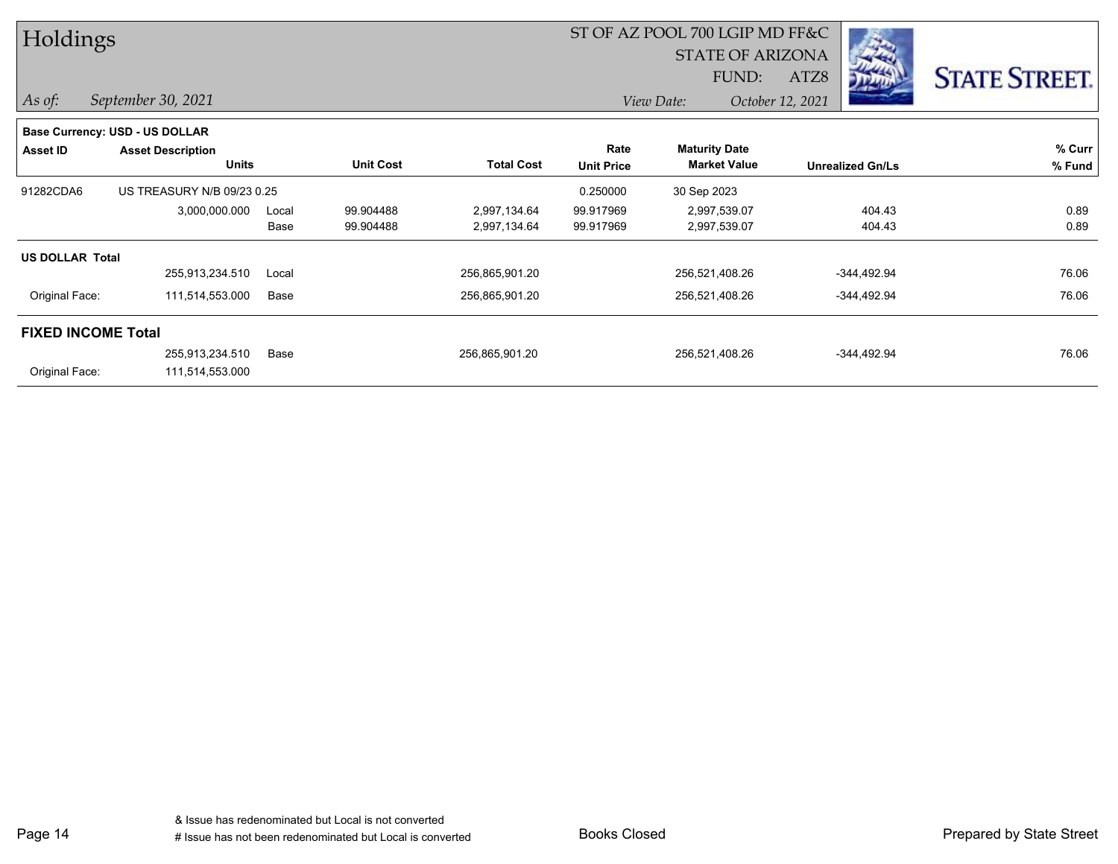| Holdings                  |                                       |       |                  |                   |                   | ST OF AZ POOL 700 LGIP MD FF&C |                         |                      |  |  |
|---------------------------|---------------------------------------|-------|------------------|-------------------|-------------------|--------------------------------|-------------------------|----------------------|--|--|
|                           |                                       |       |                  |                   |                   | <b>STATE OF ARIZONA</b>        |                         |                      |  |  |
|                           |                                       |       |                  |                   |                   | FUND:                          | ATZ8                    | <b>STATE STREET.</b> |  |  |
| $\vert$ As of:            | September 30, 2021                    |       |                  |                   |                   | View Date:                     | October 12, 2021        |                      |  |  |
|                           | <b>Base Currency: USD - US DOLLAR</b> |       |                  |                   |                   |                                |                         |                      |  |  |
| Asset ID                  | <b>Asset Description</b>              |       |                  |                   | Rate              | <b>Maturity Date</b>           |                         | % Curr               |  |  |
|                           | <b>Units</b>                          |       | <b>Unit Cost</b> | <b>Total Cost</b> | <b>Unit Price</b> | <b>Market Value</b>            | <b>Unrealized Gn/Ls</b> | % Fund               |  |  |
| 91282CDA6                 | US TREASURY N/B 09/23 0.25            |       |                  |                   | 0.250000          | 30 Sep 2023                    |                         |                      |  |  |
|                           | 3,000,000.000                         | Local | 99.904488        | 2,997,134.64      | 99.917969         | 2,997,539.07                   | 404.43                  | 0.89                 |  |  |
|                           |                                       | Base  | 99.904488        | 2,997,134.64      | 99.917969         | 2,997,539.07                   | 404.43                  | 0.89                 |  |  |
| <b>US DOLLAR Total</b>    |                                       |       |                  |                   |                   |                                |                         |                      |  |  |
|                           | 255,913,234.510                       | Local |                  | 256,865,901.20    |                   | 256,521,408.26                 | -344,492.94             | 76.06                |  |  |
| Original Face:            | 111,514,553.000                       | Base  |                  | 256,865,901.20    |                   | 256,521,408.26                 | -344,492.94             | 76.06                |  |  |
| <b>FIXED INCOME Total</b> |                                       |       |                  |                   |                   |                                |                         |                      |  |  |
|                           | 255,913,234.510                       | Base  |                  | 256,865,901.20    |                   | 256,521,408.26                 | $-344,492.94$           | 76.06                |  |  |
| Original Face:            | 111,514,553.000                       |       |                  |                   |                   |                                |                         |                      |  |  |

Page 14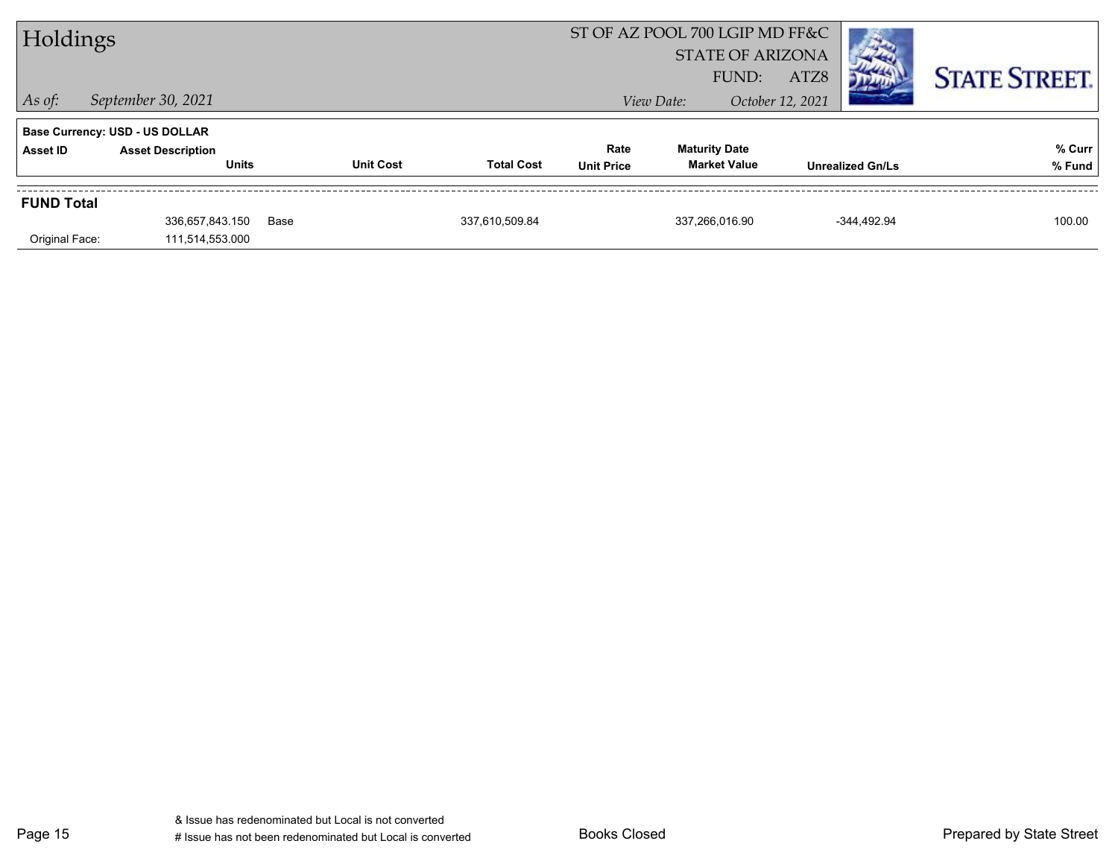| Holdings          |                                       |      | ST OF AZ POOL 700 LGIP MD FF&C |                   |                   |                      |                         |                  |                         |                      |  |
|-------------------|---------------------------------------|------|--------------------------------|-------------------|-------------------|----------------------|-------------------------|------------------|-------------------------|----------------------|--|
|                   |                                       |      |                                |                   |                   |                      | <b>STATE OF ARIZONA</b> |                  |                         |                      |  |
|                   |                                       |      |                                |                   |                   |                      | FUND:                   | ATZ8             |                         | <b>STATE STREET.</b> |  |
| $\vert$ As of:    | September 30, 2021                    |      |                                |                   |                   | View Date:           |                         | October 12, 2021 |                         |                      |  |
|                   | <b>Base Currency: USD - US DOLLAR</b> |      |                                |                   |                   |                      |                         |                  |                         |                      |  |
| Asset ID          | <b>Asset Description</b>              |      |                                |                   | Rate              | <b>Maturity Date</b> |                         |                  |                         | % Curr               |  |
|                   | <b>Units</b>                          |      | <b>Unit Cost</b>               | <b>Total Cost</b> | <b>Unit Price</b> |                      | <b>Market Value</b>     |                  | <b>Unrealized Gn/Ls</b> | % Fund               |  |
| <b>FUND Total</b> |                                       |      |                                |                   |                   |                      |                         |                  |                         |                      |  |
|                   | 336,657,843.150                       | Base |                                | 337.610.509.84    |                   | 337,266,016.90       |                         |                  | -344.492.94             | 100.00               |  |
| Original Face:    | 111,514,553.000                       |      |                                |                   |                   |                      |                         |                  |                         |                      |  |

Page 15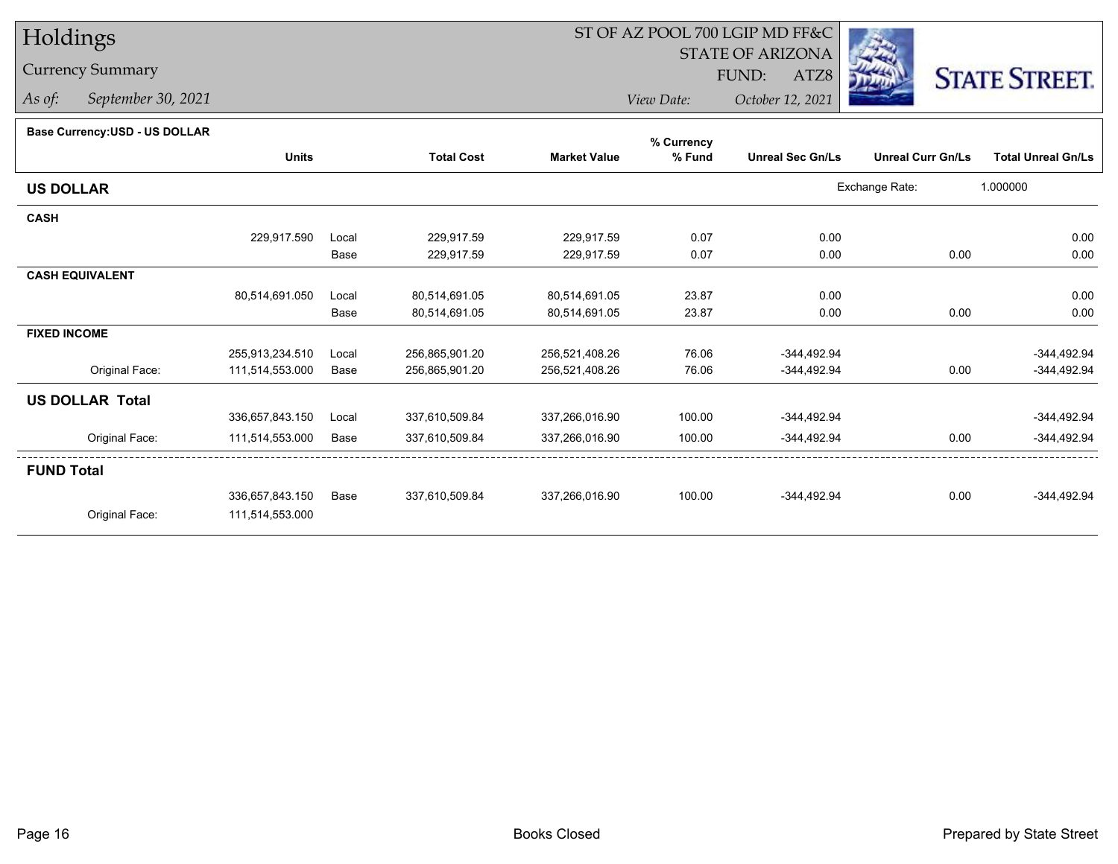## Currency Summary

*As of: September 30, 2021*

# ST OF AZ POOL 700 LGIP MD FF&C

STATE OF ARIZONA

ATZ8



*View Date: October 12, 2021*FUND:

#### **Base Currency:USD - US DOLLAR**

| <b>Unreal Curr Gn/Ls</b><br>Exchange Rate: | <b>Total Unreal Gn/Ls</b><br>1.000000 |
|--------------------------------------------|---------------------------------------|
|                                            |                                       |
|                                            |                                       |
|                                            |                                       |
|                                            | 0.00                                  |
| 0.00                                       | 0.00                                  |
|                                            |                                       |
|                                            | 0.00                                  |
| 0.00                                       | 0.00                                  |
|                                            |                                       |
|                                            | $-344,492.94$                         |
| 0.00                                       | -344,492.94                           |
|                                            |                                       |
|                                            | $-344,492.94$                         |
| 0.00                                       | $-344,492.94$                         |
|                                            |                                       |
| 0.00                                       | $-344,492.94$                         |
|                                            |                                       |
|                                            |                                       |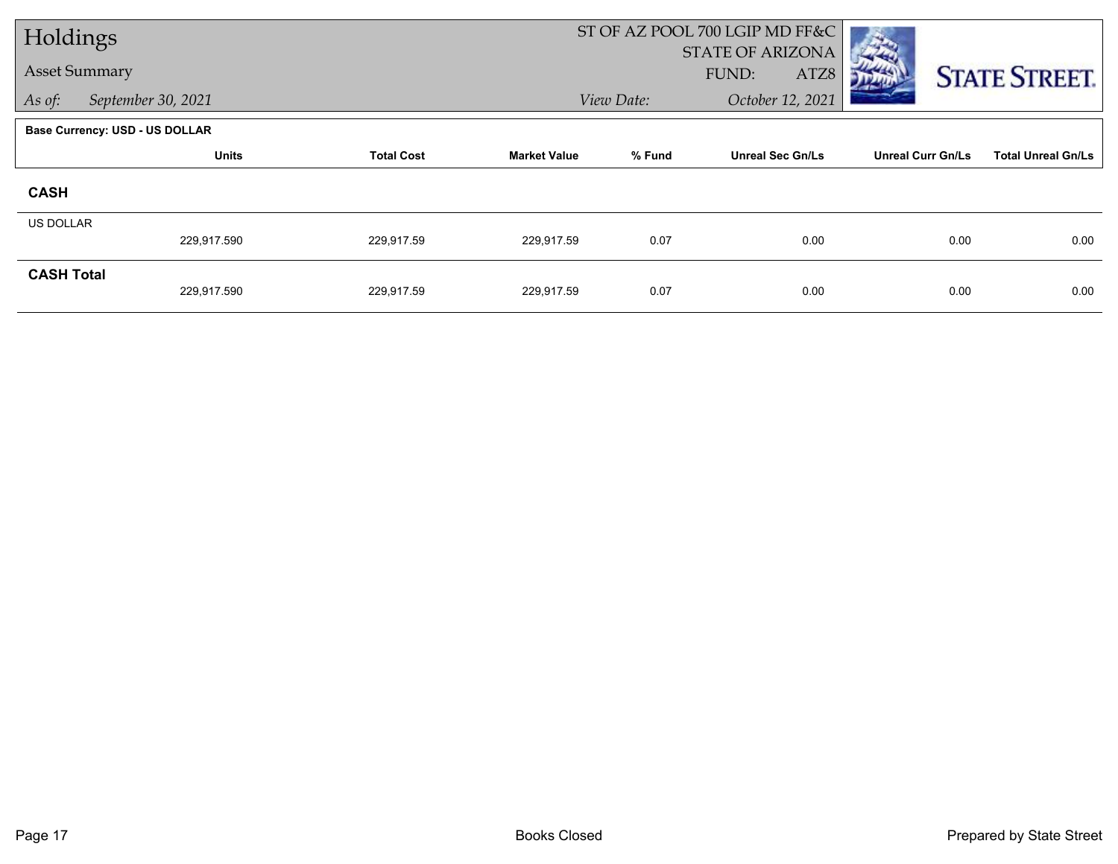| Holdings             |                                       |                   |                     |            | ST OF AZ POOL 700 LGIP MD FF&C |                          |                           |
|----------------------|---------------------------------------|-------------------|---------------------|------------|--------------------------------|--------------------------|---------------------------|
| <b>Asset Summary</b> |                                       |                   |                     |            | <b>STATE OF ARIZONA</b>        |                          |                           |
|                      |                                       |                   |                     |            | ATZ8<br>FUND:                  |                          | <b>STATE STREET.</b>      |
| As of:               | September 30, 2021                    |                   |                     | View Date: | October 12, 2021               |                          |                           |
|                      | <b>Base Currency: USD - US DOLLAR</b> |                   |                     |            |                                |                          |                           |
|                      | <b>Units</b>                          | <b>Total Cost</b> | <b>Market Value</b> | % Fund     | <b>Unreal Sec Gn/Ls</b>        | <b>Unreal Curr Gn/Ls</b> | <b>Total Unreal Gn/Ls</b> |
| <b>CASH</b>          |                                       |                   |                     |            |                                |                          |                           |
| <b>US DOLLAR</b>     |                                       |                   |                     |            |                                |                          |                           |
|                      | 229,917.590                           | 229,917.59        | 229,917.59          | 0.07       | 0.00                           | 0.00                     | 0.00                      |
| <b>CASH Total</b>    |                                       |                   |                     |            |                                |                          |                           |
|                      | 229,917.590                           | 229,917.59        | 229,917.59          | 0.07       | 0.00                           | 0.00                     | 0.00                      |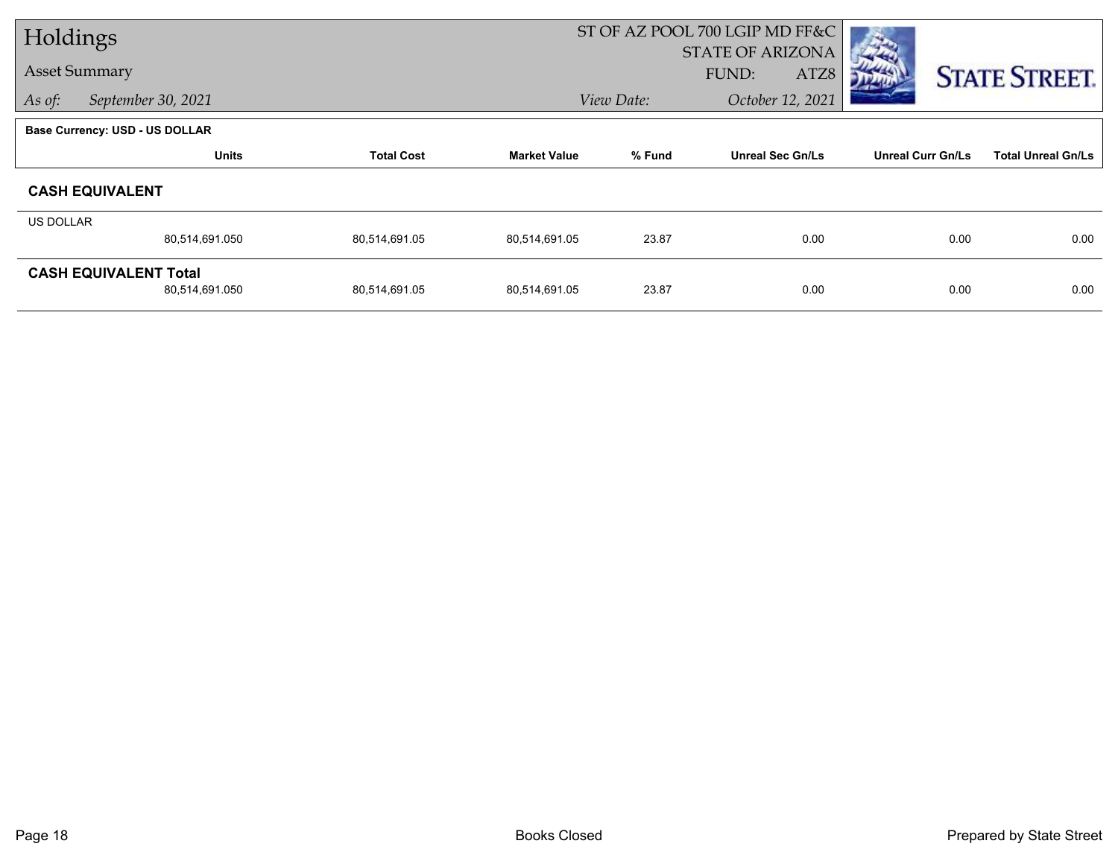| Holdings             |                                       |                   |                     |            | ST OF AZ POOL 700 LGIP MD FF&C |                          |                           |
|----------------------|---------------------------------------|-------------------|---------------------|------------|--------------------------------|--------------------------|---------------------------|
|                      |                                       |                   |                     |            | <b>STATE OF ARIZONA</b>        |                          |                           |
| <b>Asset Summary</b> |                                       |                   |                     |            | FUND:<br>ATZ8                  |                          | <b>STATE STREET.</b>      |
| As of:               | September 30, 2021                    |                   |                     | View Date: | October 12, 2021               |                          |                           |
|                      | <b>Base Currency: USD - US DOLLAR</b> |                   |                     |            |                                |                          |                           |
|                      | <b>Units</b>                          | <b>Total Cost</b> | <b>Market Value</b> | % Fund     | <b>Unreal Sec Gn/Ls</b>        | <b>Unreal Curr Gn/Ls</b> | <b>Total Unreal Gn/Ls</b> |
|                      | <b>CASH EQUIVALENT</b>                |                   |                     |            |                                |                          |                           |
| US DOLLAR            |                                       |                   |                     |            |                                |                          |                           |
|                      | 80,514,691.050                        | 80,514,691.05     | 80,514,691.05       | 23.87      | 0.00                           | 0.00                     | 0.00                      |
|                      | <b>CASH EQUIVALENT Total</b>          |                   |                     |            |                                |                          |                           |
|                      | 80,514,691.050                        | 80,514,691.05     | 80,514,691.05       | 23.87      | 0.00                           | 0.00                     | 0.00                      |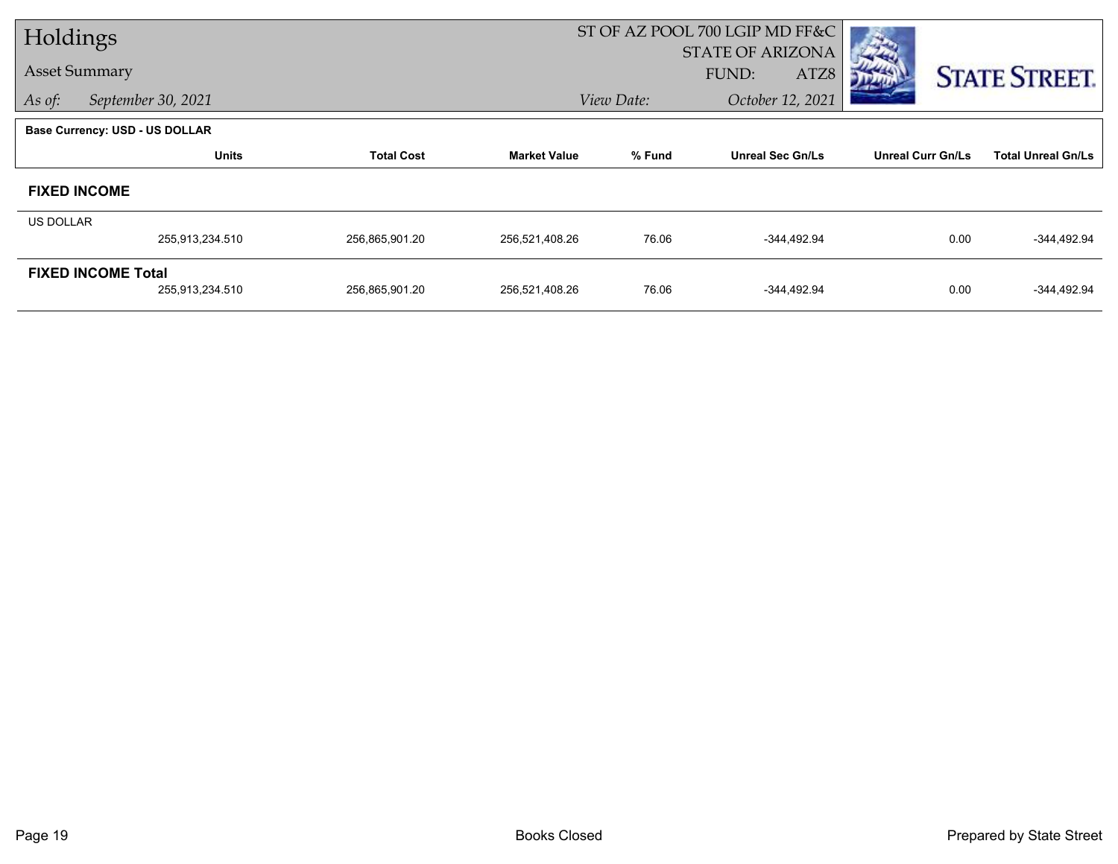| Holdings             |                                       |                   |                     |            | ST OF AZ POOL 700 LGIP MD FF&C |                          |                           |
|----------------------|---------------------------------------|-------------------|---------------------|------------|--------------------------------|--------------------------|---------------------------|
|                      |                                       |                   |                     |            | <b>STATE OF ARIZONA</b>        |                          |                           |
| <b>Asset Summary</b> |                                       |                   |                     |            | FUND:<br>ATZ8                  |                          | <b>STATE STREET.</b>      |
| As of:               | September 30, 2021                    |                   |                     | View Date: | October 12, 2021               |                          |                           |
|                      | <b>Base Currency: USD - US DOLLAR</b> |                   |                     |            |                                |                          |                           |
|                      | <b>Units</b>                          | <b>Total Cost</b> | <b>Market Value</b> | % Fund     | <b>Unreal Sec Gn/Ls</b>        | <b>Unreal Curr Gn/Ls</b> | <b>Total Unreal Gn/Ls</b> |
| <b>FIXED INCOME</b>  |                                       |                   |                     |            |                                |                          |                           |
| <b>US DOLLAR</b>     |                                       |                   |                     |            |                                |                          |                           |
|                      | 255,913,234.510                       | 256,865,901.20    | 256,521,408.26      | 76.06      | -344,492.94                    | 0.00                     | $-344,492.94$             |
|                      | <b>FIXED INCOME Total</b>             |                   |                     |            |                                |                          |                           |
|                      | 255,913,234.510                       | 256,865,901.20    | 256,521,408.26      | 76.06      | -344,492.94                    | 0.00                     | $-344,492.94$             |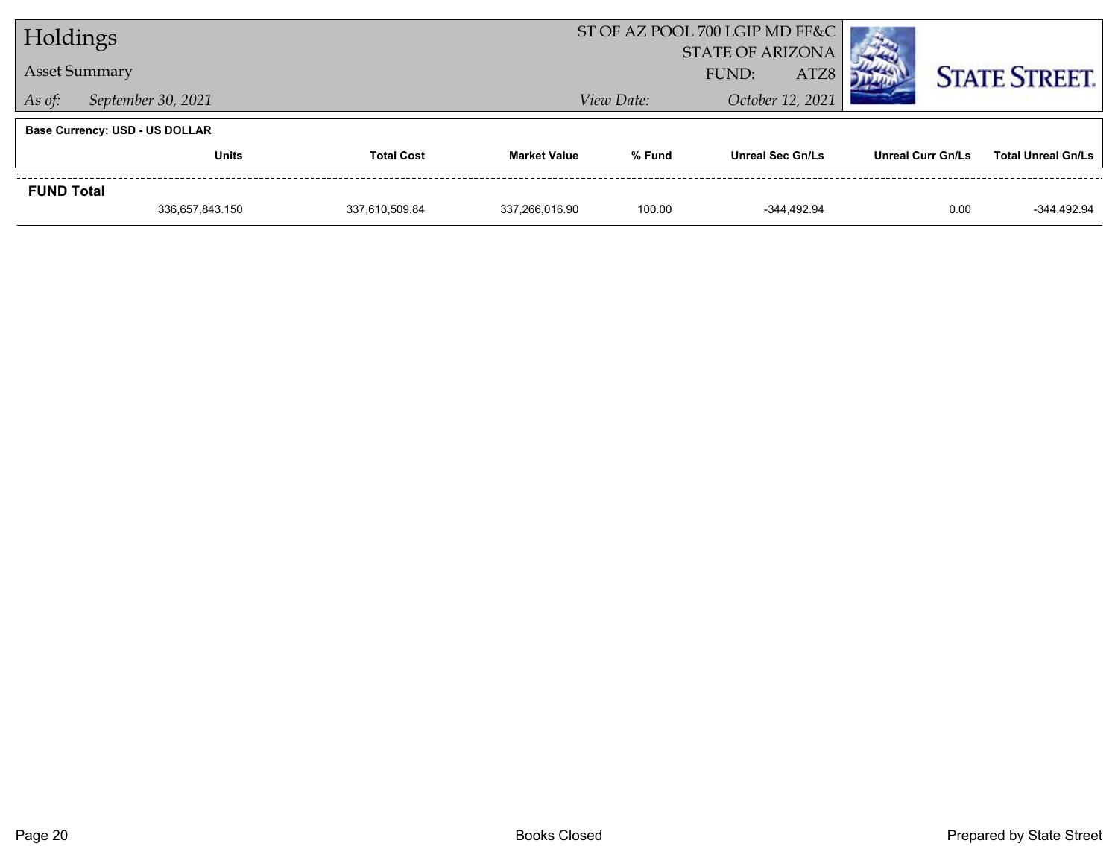| Holdings             |                                       |                   |                     | ST OF AZ POOL 700 LGIP MD FF&C |                         |                   |                           |
|----------------------|---------------------------------------|-------------------|---------------------|--------------------------------|-------------------------|-------------------|---------------------------|
|                      |                                       |                   |                     |                                | <b>STATE OF ARIZONA</b> |                   |                           |
| <b>Asset Summary</b> |                                       |                   |                     |                                | ATZ8<br>FUND:           |                   | <b>STATE STREET.</b>      |
| As of:               | September 30, 2021                    |                   |                     | View Date:                     | October 12, 2021        |                   |                           |
|                      | <b>Base Currency: USD - US DOLLAR</b> |                   |                     |                                |                         |                   |                           |
|                      | <b>Units</b>                          | <b>Total Cost</b> | <b>Market Value</b> | % Fund                         | <b>Unreal Sec Gn/Ls</b> | Unreal Curr Gn/Ls | <b>Total Unreal Gn/Ls</b> |
| <b>FUND Total</b>    |                                       |                   |                     |                                |                         |                   |                           |
|                      |                                       |                   |                     | 100.00                         | $-344.492.94$           | 0.00              | $-344,492.94$             |